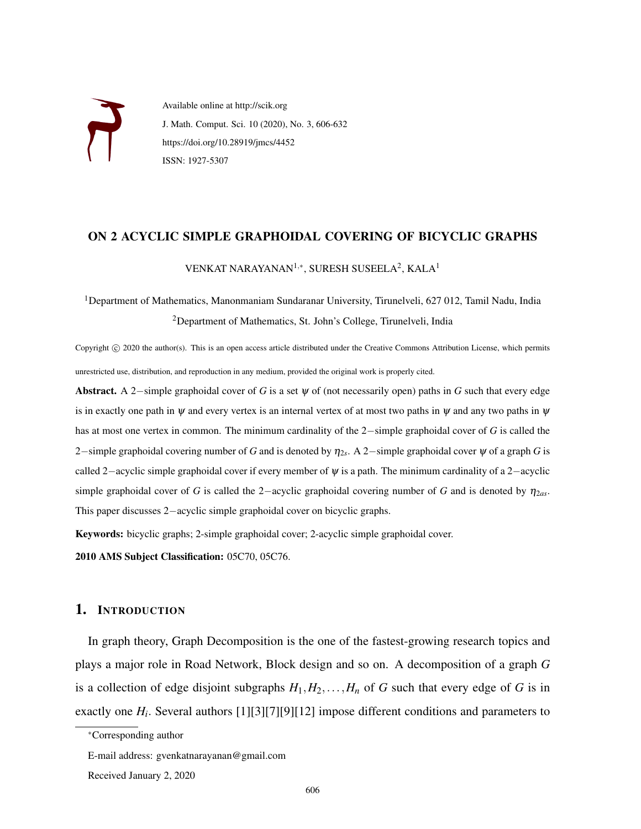

Available online at http://scik.org J. Math. Comput. Sci. 10 (2020), No. 3, 606-632 https://doi.org/10.28919/jmcs/4452 ISSN: 1927-5307

## ON 2 ACYCLIC SIMPLE GRAPHOIDAL COVERING OF BICYCLIC GRAPHS

VENKAT NARAYANAN $^{1,*}$ , SURESH SUSEELA $^{2}$ , KALA $^{1}$ 

<sup>1</sup>Department of Mathematics, Manonmaniam Sundaranar University, Tirunelveli, 627 012, Tamil Nadu, India <sup>2</sup>Department of Mathematics, St. John's College, Tirunelveli, India

Copyright (c) 2020 the author(s). This is an open access article distributed under the Creative Commons Attribution License, which permits unrestricted use, distribution, and reproduction in any medium, provided the original work is properly cited.

Abstract. A 2−simple graphoidal cover of *G* is a set ψ of (not necessarily open) paths in *G* such that every edge is in exactly one path in  $\psi$  and every vertex is an internal vertex of at most two paths in  $\psi$  and any two paths in  $\psi$ has at most one vertex in common. The minimum cardinality of the 2−simple graphoidal cover of *G* is called the 2−simple graphoidal covering number of *G* and is denoted by η2*<sup>s</sup>* . A 2−simple graphoidal cover ψ of a graph *G* is called 2−acyclic simple graphoidal cover if every member of ψ is a path. The minimum cardinality of a 2−acyclic simple graphoidal cover of *G* is called the 2–acyclic graphoidal covering number of *G* and is denoted by  $\eta_{2as}$ . This paper discusses 2−acyclic simple graphoidal cover on bicyclic graphs.

Keywords: bicyclic graphs; 2-simple graphoidal cover; 2-acyclic simple graphoidal cover.

2010 AMS Subject Classification: 05C70, 05C76.

#### 1. INTRODUCTION

In graph theory, Graph Decomposition is the one of the fastest-growing research topics and plays a major role in Road Network, Block design and so on. A decomposition of a graph *G* is a collection of edge disjoint subgraphs  $H_1, H_2, \ldots, H_n$  of *G* such that every edge of *G* is in exactly one  $H_i$ . Several authors [1][3][7][9][12] impose different conditions and parameters to

<sup>∗</sup>Corresponding author

E-mail address: gvenkatnarayanan@gmail.com

Received January 2, 2020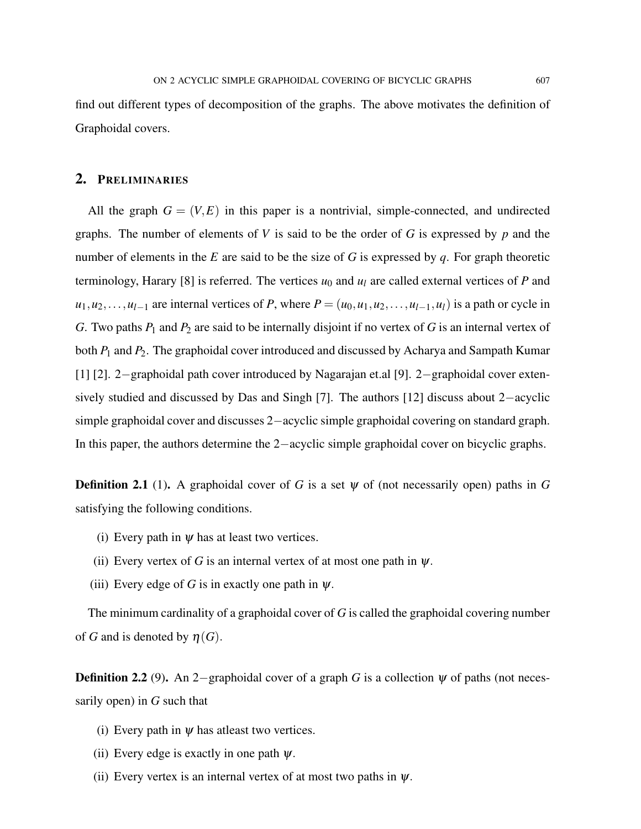find out different types of decomposition of the graphs. The above motivates the definition of Graphoidal covers.

## 2. PRELIMINARIES

All the graph  $G = (V, E)$  in this paper is a nontrivial, simple-connected, and undirected graphs. The number of elements of *V* is said to be the order of *G* is expressed by *p* and the number of elements in the *E* are said to be the size of *G* is expressed by *q*. For graph theoretic terminology, Harary [8] is referred. The vertices  $u_0$  and  $u_l$  are called external vertices of P and  $u_1, u_2, \ldots, u_{l-1}$  are internal vertices of *P*, where  $P = (u_0, u_1, u_2, \ldots, u_{l-1}, u_l)$  is a path or cycle in *G*. Two paths *P*<sup>1</sup> and *P*<sup>2</sup> are said to be internally disjoint if no vertex of *G* is an internal vertex of both *P*<sup>1</sup> and *P*2. The graphoidal cover introduced and discussed by Acharya and Sampath Kumar [1] [2]. 2−graphoidal path cover introduced by Nagarajan et.al [9]. 2−graphoidal cover extensively studied and discussed by Das and Singh [7]. The authors [12] discuss about 2−acyclic simple graphoidal cover and discusses 2−acyclic simple graphoidal covering on standard graph. In this paper, the authors determine the 2−acyclic simple graphoidal cover on bicyclic graphs.

**Definition 2.1** (1). A graphoidal cover of *G* is a set  $\psi$  of (not necessarily open) paths in *G* satisfying the following conditions.

- (i) Every path in  $\psi$  has at least two vertices.
- (ii) Every vertex of *G* is an internal vertex of at most one path in  $\psi$ .
- (iii) Every edge of *G* is in exactly one path in  $\psi$ .

The minimum cardinality of a graphoidal cover of *G* is called the graphoidal covering number of *G* and is denoted by  $\eta(G)$ .

Definition 2.2 (9). An 2−graphoidal cover of a graph *G* is a collection  $\psi$  of paths (not necessarily open) in *G* such that

- (i) Every path in  $\psi$  has at least two vertices.
- (ii) Every edge is exactly in one path  $\psi$ .
- (ii) Every vertex is an internal vertex of at most two paths in  $\psi$ .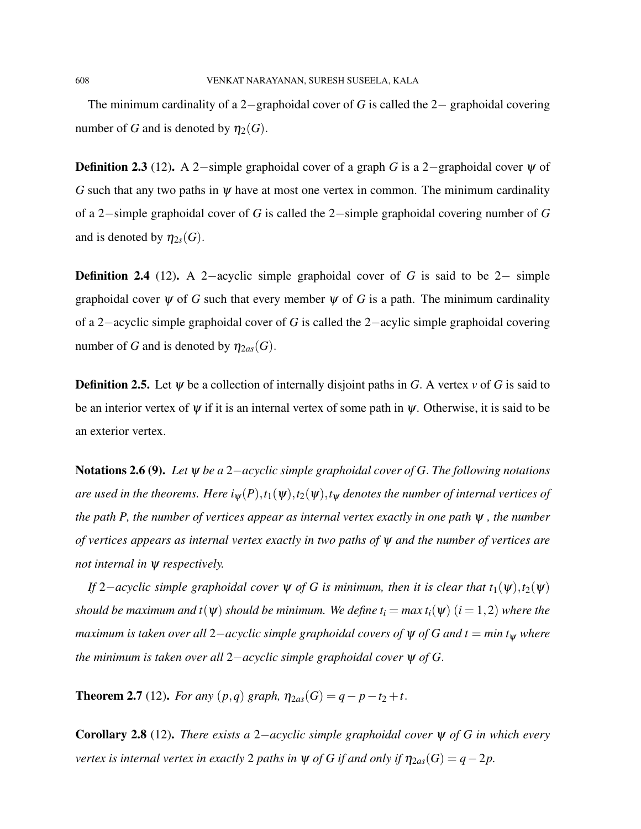The minimum cardinality of a 2−graphoidal cover of *G* is called the 2− graphoidal covering number of *G* and is denoted by  $\eta_2(G)$ .

Definition 2.3 (12). A 2−simple graphoidal cover of a graph *G* is a 2−graphoidal cover ψ of *G* such that any two paths in  $\psi$  have at most one vertex in common. The minimum cardinality of a 2−simple graphoidal cover of *G* is called the 2−simple graphoidal covering number of *G* and is denoted by  $\eta_{2s}(G)$ .

Definition 2.4 (12). A 2−acyclic simple graphoidal cover of *G* is said to be 2− simple graphoidal cover  $\psi$  of *G* such that every member  $\psi$  of *G* is a path. The minimum cardinality of a 2−acyclic simple graphoidal cover of *G* is called the 2−acylic simple graphoidal covering number of *G* and is denoted by  $\eta_{2as}(G)$ .

**Definition 2.5.** Let  $\psi$  be a collection of internally disjoint paths in *G*. A vertex  $\nu$  of *G* is said to be an interior vertex of  $\psi$  if it is an internal vertex of some path in  $\psi$ . Otherwise, it is said to be an exterior vertex.

Notations 2.6 (9). *Let* ψ *be a* 2−*acyclic simple graphoidal cover of G*. *The following notations are used in the theorems. Here i* $_{w}(P), t_{1}(\psi), t_{2}(\psi), t_{w}$  *denotes the number of internal vertices of the path P, the number of vertices appear as internal vertex exactly in one path* ψ *, the number of vertices appears as internal vertex exactly in two paths of* ψ *and the number of vertices are not internal in* ψ *respectively.*

*If* 2−*acyclic simple graphoidal cover*  $\psi$  *of G is minimum, then it is clear that*  $t_1(\psi)$ , $t_2(\psi)$ *should be maximum and t*( $\Psi$ ) *should be minimum. We define t<sub>i</sub> = max t<sub>i</sub>(* $\Psi$ *) (i = 1,2) where the maximum is taken over all* 2−*acyclic simple graphoidal covers of* ψ *of G and t* = *min t*<sup>ψ</sup> *where the minimum is taken over all* 2−*acyclic simple graphoidal cover* ψ *of G*.

**Theorem 2.7** (12). *For any*  $(p,q)$  *graph,*  $\eta_{2as}(G) = q - p - t_2 + t$ .

Corollary 2.8 (12). *There exists a* 2−*acyclic simple graphoidal cover* ψ *of G in which every vertex is internal vertex in exactly* 2 *paths in*  $\psi$  *of G if and only if*  $\eta_{2as}(G) = q - 2p$ .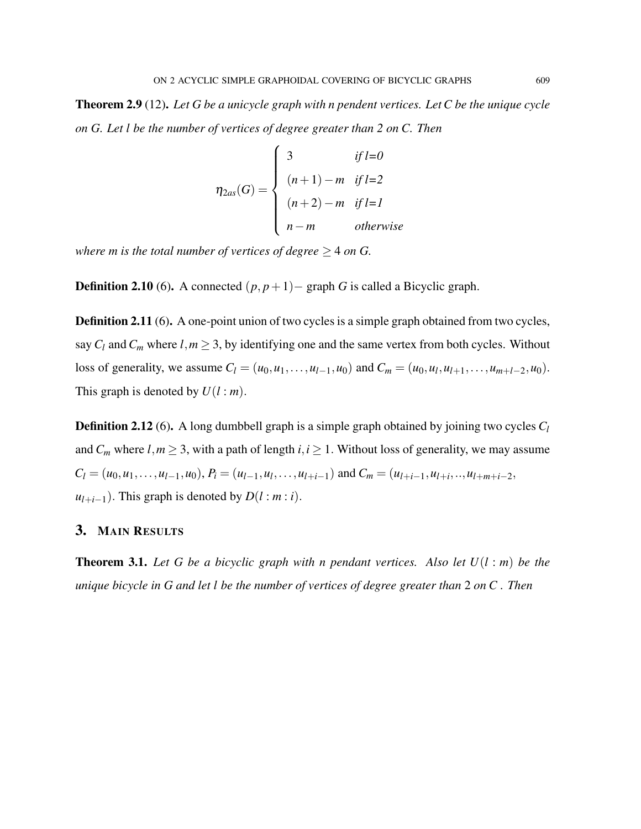Theorem 2.9 (12). *Let G be a unicycle graph with n pendent vertices. Let C be the unique cycle on G. Let l be the number of vertices of degree greater than 2 on C. Then*

$$
\eta_{2as}(G) = \begin{cases}\n3 & \text{if } l=0 \\
(n+1) - m & \text{if } l=2 \\
(n+2) - m & \text{if } l=l \\
n - m & \text{otherwise}\n\end{cases}
$$

*where m is the total number of vertices of degree*  $\geq$  4 *on G.* 

**Definition 2.10** (6). A connected  $(p, p+1)$  – graph *G* is called a Bicyclic graph.

Definition 2.11 (6). A one-point union of two cycles is a simple graph obtained from two cycles, say  $C_l$  and  $C_m$  where  $l, m \geq 3$ , by identifying one and the same vertex from both cycles. Without loss of generality, we assume  $C_l = (u_0, u_1, \dots, u_{l-1}, u_0)$  and  $C_m = (u_0, u_l, u_{l+1}, \dots, u_{m+l-2}, u_0)$ . This graph is denoted by  $U(l : m)$ .

Definition 2.12 (6). A long dumbbell graph is a simple graph obtained by joining two cycles *C<sup>l</sup>* and  $C_m$  where  $l, m \geq 3$ , with a path of length  $i, i \geq 1$ . Without loss of generality, we may assume  $C_l = (u_0, u_1, \ldots, u_{l-1}, u_0), P_i = (u_{l-1}, u_l, \ldots, u_{l+i-1})$  and  $C_m = (u_{l+i-1}, u_{l+i}, \ldots, u_{l+m+i-2},$  $u_{l+i-1}$ ). This graph is denoted by  $D(l : m : i)$ .

## 3. MAIN RESULTS

Theorem 3.1. *Let G be a bicyclic graph with n pendant vertices. Also let U*(*l* : *m*) *be the unique bicycle in G and let l be the number of vertices of degree greater than* 2 *on C . Then*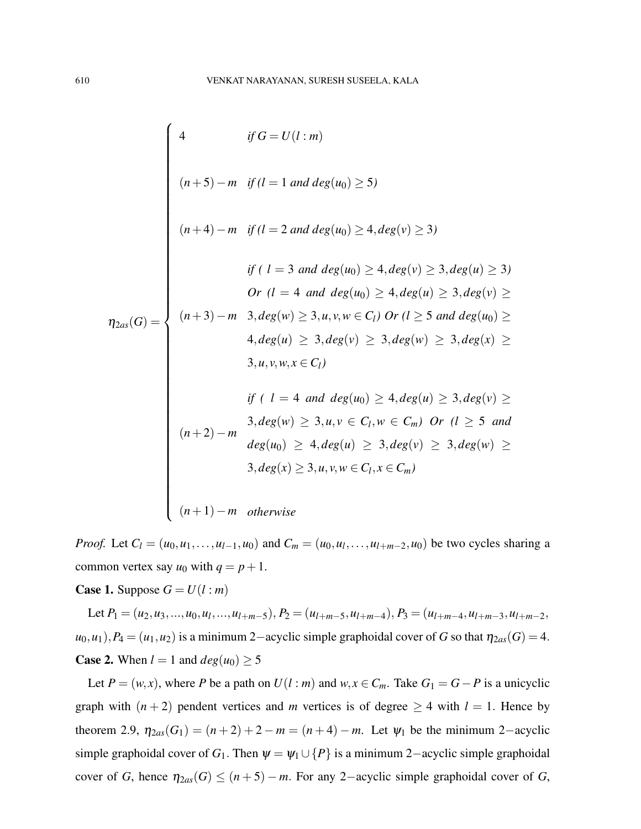$$
f \circ U(l:m)
$$
\n
$$
(n+5) - m \quad \text{if } (l = 1 \text{ and } deg(u_0) \ge 5)
$$
\n
$$
(n+4) - m \quad \text{if } (l = 2 \text{ and } deg(u_0) \ge 4, deg(v) \ge 3)
$$
\n
$$
if (l = 3 \text{ and } deg(u_0) \ge 4, deg(v) \ge 3, deg(u) \ge 3)
$$
\n
$$
or (l = 4 \text{ and } deg(u_0) \ge 4, deg(u) \ge 3, deg(v) \ge 3)
$$
\n
$$
or (l = 4 \text{ and } deg(u_0) \ge 4, deg(u) \ge 3, deg(v) \ge 3)
$$
\n
$$
a, deg(u) \ge 3, a, v, w \in C_l) \quad \text{or } (l \ge 5 \text{ and } deg(u_0) \ge 3, u, v, w, x \in C_l)
$$
\n
$$
if (l = 4 \text{ and } deg(u_0) \ge 4, deg(u) \ge 3, deg(v) \ge 3)
$$
\n
$$
a, deg(w) \ge 3, u, v \in C_l, w \in C_m) \quad \text{or } (l \ge 5 \text{ and } deg(u_0) \ge 4, deg(u) \ge 3, deg(v) \ge 3)
$$
\n
$$
a, deg(u) \ge 4, deg(u) \ge 3, deg(v) \ge 3, deg(w) \ge 3)
$$
\n
$$
a, deg(x) \ge 3, u, v, w \in C_l, x \in C_m)
$$
\n
$$
(n+1) - m \quad \text{otherwise}
$$

*Proof.* Let  $C_l = (u_0, u_1, \ldots, u_{l-1}, u_0)$  and  $C_m = (u_0, u_l, \ldots, u_{l+m-2}, u_0)$  be two cycles sharing a common vertex say  $u_0$  with  $q = p + 1$ .

**Case 1.** Suppose  $G = U(l : m)$ 

Let  $P_1 = (u_2, u_3, ..., u_0, u_l, ..., u_{l+m-5}), P_2 = (u_{l+m-5}, u_{l+m-4}), P_3 = (u_{l+m-4}, u_{l+m-3}, u_{l+m-2},$  $u_0, u_1$ ,*P*<sub>4</sub> = ( $u_1, u_2$ ) is a minimum 2–acyclic simple graphoidal cover of *G* so that  $\eta_{2as}(G) = 4$ . **Case 2.** When  $l = 1$  and  $deg(u_0) \ge 5$ 

Let  $P = (w, x)$ , where *P* be a path on  $U(l : m)$  and  $w, x \in C_m$ . Take  $G_1 = G - P$  is a unicyclic graph with  $(n+2)$  pendent vertices and *m* vertices is of degree  $\geq 4$  with  $l = 1$ . Hence by theorem 2.9,  $\eta_{2as}(G_1) = (n+2) + 2 - m = (n+4) - m$ . Let  $\psi_1$  be the minimum 2-acyclic simple graphoidal cover of  $G_1$ . Then  $\psi = \psi_1 \cup \{P\}$  is a minimum 2–acyclic simple graphoidal cover of *G*, hence  $\eta_{2as}(G) \leq (n+5) - m$ . For any 2-acyclic simple graphoidal cover of *G*,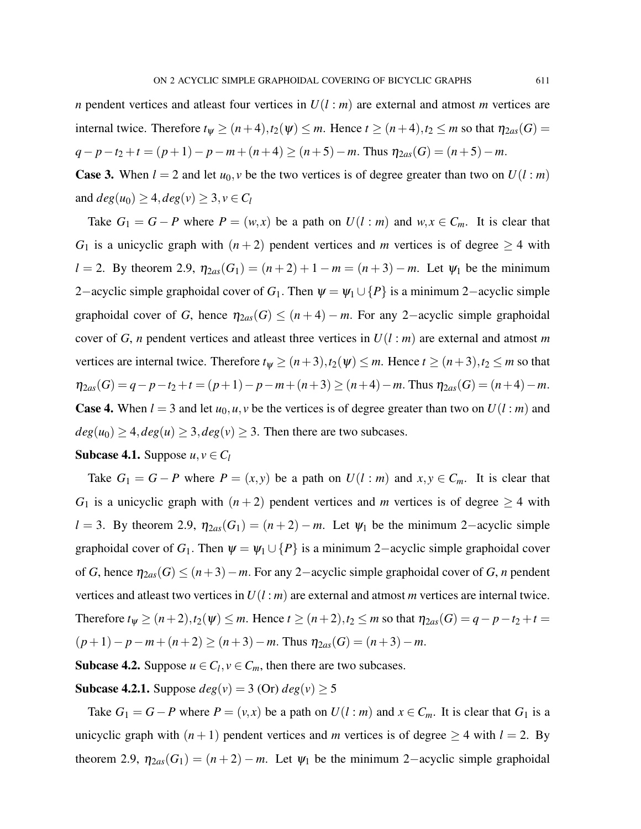*n* pendent vertices and atleast four vertices in *U*(*l* : *m*) are external and atmost *m* vertices are internal twice. Therefore  $t_{\psi} \ge (n+4), t_2(\psi) \le m$ . Hence  $t \ge (n+4), t_2 \le m$  so that  $\eta_{2as}(G) =$ 

$$
q-p-t_2+t=(p+1)-p-m+(n+4)\geq (n+5)-m.
$$
 Thus  $\eta_{2as}(G)=(n+5)-m.$ 

**Case 3.** When  $l = 2$  and let  $u_0, v$  be the two vertices is of degree greater than two on  $U(l : m)$ and  $deg(u_0) \geq 4, deg(v) \geq 3, v \in C_l$ 

Take  $G_1 = G - P$  where  $P = (w, x)$  be a path on  $U(l : m)$  and  $w, x \in C_m$ . It is clear that *G*<sub>1</sub> is a unicyclic graph with  $(n+2)$  pendent vertices and *m* vertices is of degree  $\geq 4$  with *l* = 2. By theorem 2.9,  $\eta_{2as}(G_1) = (n+2)+1-m = (n+3)-m$ . Let  $\psi_1$  be the minimum 2−acyclic simple graphoidal cover of  $G_1$ . Then  $\psi = \psi_1 \cup \{P\}$  is a minimum 2−acyclic simple graphoidal cover of *G*, hence  $\eta_{2as}(G) \leq (n+4) - m$ . For any 2-acyclic simple graphoidal cover of *G*, *n* pendent vertices and atleast three vertices in  $U(l : m)$  are external and atmost *m* vertices are internal twice. Therefore  $t_{\psi} \ge (n+3), t_2(\psi) \le m$ . Hence  $t \ge (n+3), t_2 \le m$  so that  $\eta_{2as}(G) = q - p - t_2 + t = (p+1) - p - m + (n+3) \ge (n+4) - m$ . Thus  $\eta_{2as}(G) = (n+4) - m$ . **Case 4.** When  $l = 3$  and let  $u_0, u, v$  be the vertices is of degree greater than two on  $U(l : m)$  and  $deg(u_0) \geq 4, deg(u) \geq 3, deg(v) \geq 3$ . Then there are two subcases.

**Subcase 4.1.** Suppose 
$$
u, v \in C_l
$$

Take  $G_1 = G - P$  where  $P = (x, y)$  be a path on  $U(l : m)$  and  $x, y \in C_m$ . It is clear that *G*<sub>1</sub> is a unicyclic graph with  $(n+2)$  pendent vertices and *m* vertices is of degree  $\geq 4$  with  $l = 3$ . By theorem 2.9,  $\eta_{2as}(G_1) = (n+2) - m$ . Let  $\psi_1$  be the minimum 2–acyclic simple graphoidal cover of  $G_1$ . Then  $\psi = \psi_1 \cup \{P\}$  is a minimum 2–acyclic simple graphoidal cover of *G*, hence  $\eta_{2as}(G) \leq (n+3)-m$ . For any 2-acyclic simple graphoidal cover of *G*, *n* pendent vertices and atleast two vertices in *U*(*l* : *m*) are external and atmost *m* vertices are internal twice. Therefore  $t_{\psi} \ge (n+2), t_2(\psi) \le m$ . Hence  $t \ge (n+2), t_2 \le m$  so that  $\eta_{2as}(G) = q - p - t_2 + t =$  $(p+1)-p-m+(n+2)$  ≥  $(n+3)-m$ . Thus  $\eta_{2as}(G) = (n+3)-m$ .

Subcase 4.2. Suppose  $u \in C_l$ ,  $v \in C_m$ , then there are two subcases.

**Subcase 4.2.1.** Suppose  $deg(v) = 3$  (Or)  $deg(v) \ge 5$ 

Take  $G_1 = G - P$  where  $P = (v, x)$  be a path on  $U(l : m)$  and  $x \in C_m$ . It is clear that  $G_1$  is a unicyclic graph with  $(n+1)$  pendent vertices and *m* vertices is of degree  $\geq 4$  with  $l = 2$ . By theorem 2.9,  $\eta_{2as}(G_1) = (n+2) - m$ . Let  $\psi_1$  be the minimum 2-acyclic simple graphoidal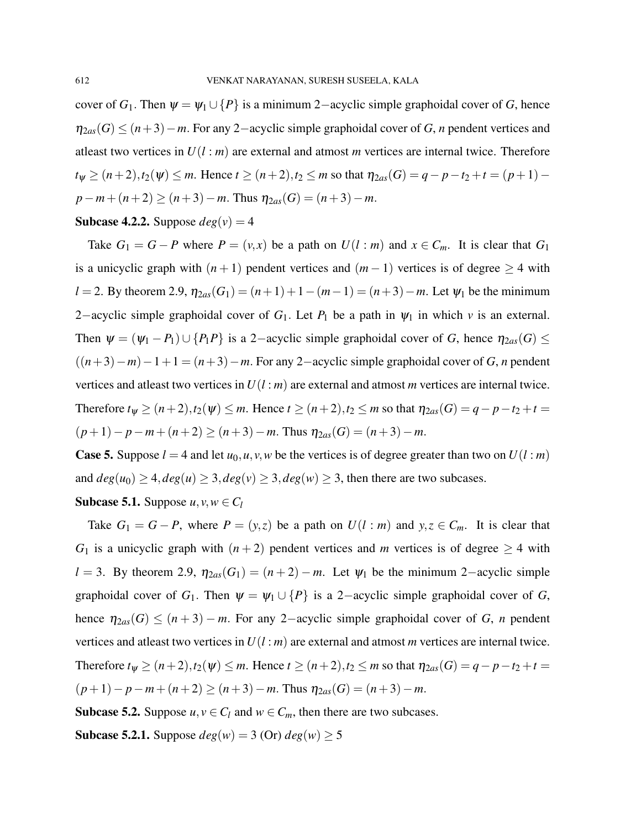cover of *G*<sub>1</sub>. Then  $\psi = \psi_1 \cup \{P\}$  is a minimum 2–acyclic simple graphoidal cover of *G*, hence η2*as*(*G*) ≤ (*n*+3)−*m*. For any 2−acyclic simple graphoidal cover of *G*, *n* pendent vertices and atleast two vertices in *U*(*l* : *m*) are external and atmost *m* vertices are internal twice. Therefore  $t_{\psi} \geq (n+2), t_2(\psi) \leq m$ . Hence  $t \geq (n+2), t_2 \leq m$  so that  $\eta_{2as}(G) = q - p - t_2 + t = (p+1)$  $p - m + (n+2) \ge (n+3) - m$ . Thus  $\eta_{2as}(G) = (n+3) - m$ .

#### **Subcase 4.2.2.** Suppose  $deg(v) = 4$

Take  $G_1 = G - P$  where  $P = (v, x)$  be a path on  $U(l : m)$  and  $x \in C_m$ . It is clear that  $G_1$ is a unicyclic graph with  $(n+1)$  pendent vertices and  $(m-1)$  vertices is of degree  $\geq 4$  with *l* = 2. By theorem 2.9,  $\eta_{2as}(G_1) = (n+1)+1-(m-1) = (n+3)-m$ . Let  $\psi_1$  be the minimum 2−acyclic simple graphoidal cover of *G*1. Let *P*<sup>1</sup> be a path in ψ<sup>1</sup> in which *v* is an external. Then  $\psi = (\psi_1 - P_1) \cup \{P_1P\}$  is a 2-acyclic simple graphoidal cover of *G*, hence  $\eta_{2as}(G) \leq$  $((n+3)-m)-1+1 = (n+3)-m$ . For any 2-acyclic simple graphoidal cover of *G*, *n* pendent vertices and atleast two vertices in *U*(*l* : *m*) are external and atmost *m* vertices are internal twice. Therefore  $t_{\psi} \ge (n+2), t_2(\psi) \le m$ . Hence  $t \ge (n+2), t_2 \le m$  so that  $\eta_{2as}(G) = q - p - t_2 + t =$  $(p+1)-p-m+(n+2)$  ≥  $(n+3)-m$ . Thus  $\eta_{2as}(G) = (n+3)-m$ .

**Case 5.** Suppose  $l = 4$  and let  $u_0, u, v, w$  be the vertices is of degree greater than two on  $U(l : m)$ and  $deg(u_0) \geq 4, deg(u) \geq 3, deg(v) \geq 3, deg(w) \geq 3$ , then there are two subcases.

**Subcase 5.1.** Suppose 
$$
u, v, w \in C_l
$$

Take  $G_1 = G - P$ , where  $P = (y, z)$  be a path on  $U(l : m)$  and  $y, z \in C_m$ . It is clear that *G*<sub>1</sub> is a unicyclic graph with  $(n+2)$  pendent vertices and *m* vertices is of degree  $\geq 4$  with *l* = 3. By theorem 2.9,  $\eta_{2as}(G_1) = (n+2) - m$ . Let  $\psi_1$  be the minimum 2−acyclic simple graphoidal cover of  $G_1$ . Then  $\psi = \psi_1 \cup \{P\}$  is a 2-acyclic simple graphoidal cover of *G*, hence  $\eta_{2as}(G) \leq (n+3) - m$ . For any 2-acyclic simple graphoidal cover of *G*, *n* pendent vertices and atleast two vertices in *U*(*l* : *m*) are external and atmost *m* vertices are internal twice. Therefore  $t_{\psi} \ge (n+2), t_2(\psi) \le m$ . Hence  $t \ge (n+2), t_2 \le m$  so that  $\eta_{2as}(G) = q - p - t_2 + t =$  $(p+1)-p-m+(n+2)$  ≥  $(n+3)-m$ . Thus  $\eta_{2as}(G) = (n+3)-m$ .

**Subcase 5.2.** Suppose  $u, v \in C_l$  and  $w \in C_m$ , then there are two subcases.

**Subcase 5.2.1.** Suppose  $deg(w) = 3$  (Or)  $deg(w) \ge 5$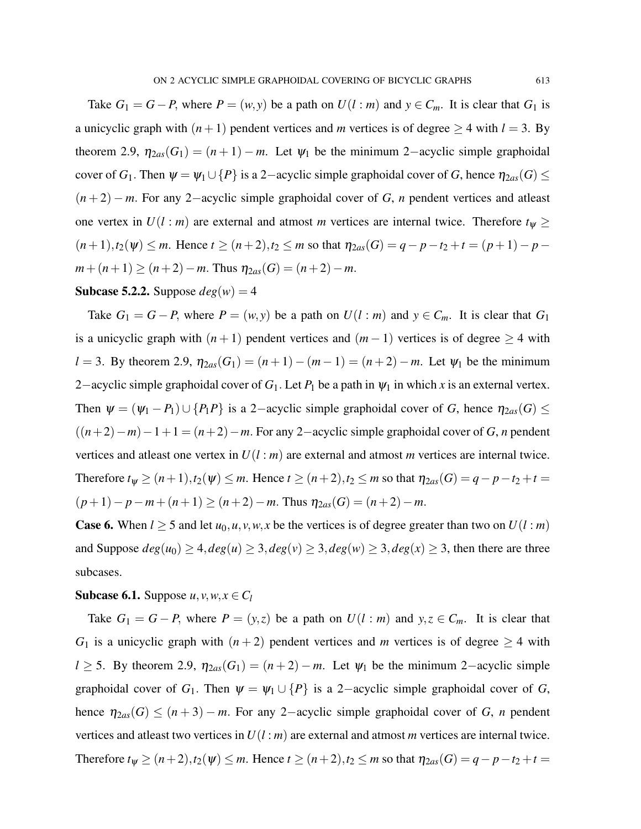Take  $G_1 = G - P$ , where  $P = (w, y)$  be a path on  $U(l : m)$  and  $y \in C_m$ . It is clear that  $G_1$  is a unicyclic graph with  $(n+1)$  pendent vertices and *m* vertices is of degree  $\geq 4$  with  $l = 3$ . By theorem 2.9,  $\eta_{2as}(G_1) = (n+1) - m$ . Let  $\psi_1$  be the minimum 2-acyclic simple graphoidal cover of *G*<sub>1</sub>. Then  $\psi = \psi_1 \cup \{P\}$  is a 2-acyclic simple graphoidal cover of *G*, hence  $\eta_{2as}(G) \le$ (*n* + 2) − *m*. For any 2−acyclic simple graphoidal cover of *G*, *n* pendent vertices and atleast one vertex in  $U(l : m)$  are external and atmost *m* vertices are internal twice. Therefore  $t_{\psi} \ge$  $(n+1), t_2(\psi)$  ≤ *m*. Hence  $t \ge (n+2), t_2 \le m$  so that  $\eta_{2as}(G) = q - p - t_2 + t = (p+1) - p$  $m + (n+1) \ge (n+2) - m$ . Thus  $\eta_{2as}(G) = (n+2) - m$ .

#### **Subcase 5.2.2.** Suppose  $deg(w) = 4$

Take  $G_1 = G - P$ , where  $P = (w, y)$  be a path on  $U(l : m)$  and  $y \in C_m$ . It is clear that  $G_1$ is a unicyclic graph with  $(n+1)$  pendent vertices and  $(m-1)$  vertices is of degree  $\geq 4$  with *l* = 3. By theorem 2.9,  $\eta_{2as}(G_1) = (n+1) - (m-1) = (n+2) - m$ . Let  $\psi_1$  be the minimum 2−acyclic simple graphoidal cover of  $G_1$ . Let  $P_1$  be a path in  $\psi_1$  in which x is an external vertex. Then  $\psi = (\psi_1 - P_1) \cup \{P_1P\}$  is a 2-acyclic simple graphoidal cover of *G*, hence  $\eta_{2as}(G) \leq$  $((n+2)-m)-1+1 = (n+2)-m$ . For any 2-acyclic simple graphoidal cover of *G*, *n* pendent vertices and atleast one vertex in *U*(*l* : *m*) are external and atmost *m* vertices are internal twice. Therefore  $t_{\psi} \ge (n+1), t_2(\psi) \le m$ . Hence  $t \ge (n+2), t_2 \le m$  so that  $\eta_{2as}(G) = q - p - t_2 + t =$  $(p+1)-p-m+(n+1)$  ≥  $(n+2)-m$ . Thus  $η_{2as}(G) = (n+2)-m$ .

**Case 6.** When  $l \ge 5$  and let  $u_0, u, v, w, x$  be the vertices is of degree greater than two on  $U(l : m)$ and Suppose  $deg(u_0) \geq 4$ ,  $deg(u) \geq 3$ ,  $deg(v) \geq 3$ ,  $deg(w) \geq 3$ ,  $deg(x) \geq 3$ , then there are three subcases.

#### Subcase 6.1. Suppose  $u, v, w, x \in C_l$

Take  $G_1 = G - P$ , where  $P = (y, z)$  be a path on  $U(l : m)$  and  $y, z \in C_m$ . It is clear that *G*<sub>1</sub> is a unicyclic graph with  $(n+2)$  pendent vertices and *m* vertices is of degree  $\geq 4$  with *l* ≥ 5. By theorem 2.9,  $\eta_{2as}(G_1) = (n+2) - m$ . Let  $\psi_1$  be the minimum 2–acyclic simple graphoidal cover of  $G_1$ . Then  $\psi = \psi_1 \cup \{P\}$  is a 2-acyclic simple graphoidal cover of *G*, hence  $\eta_{2as}(G) \leq (n+3) - m$ . For any 2-acyclic simple graphoidal cover of *G*, *n* pendent vertices and at least two vertices in  $U(l : m)$  are external and atmost *m* vertices are internal twice. Therefore  $t_{\psi} \geq (n+2), t_2(\psi) \leq m$ . Hence  $t \geq (n+2), t_2 \leq m$  so that  $\eta_{2as}(G) = q - p - t_2 + t =$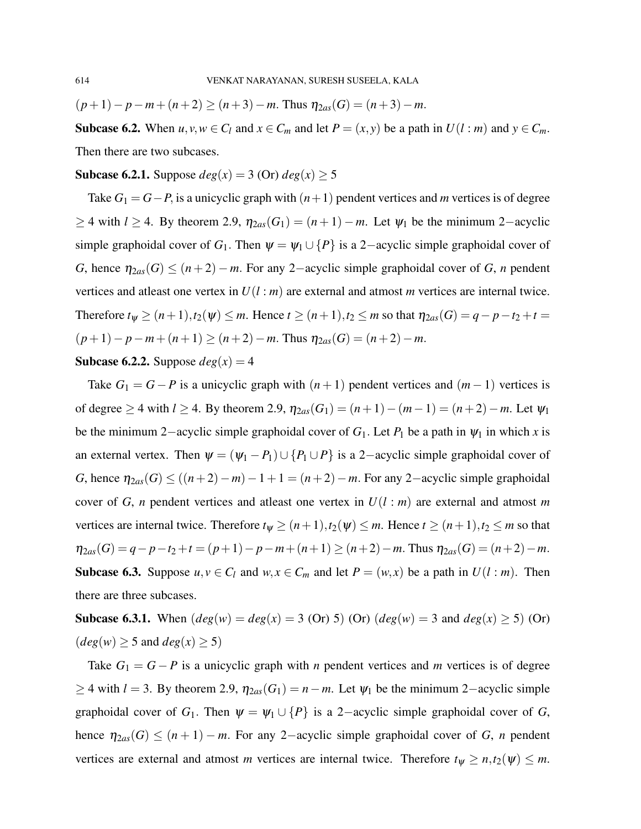$(p+1)-p-m+(n+2)$  ≥  $(n+3)-m$ . Thus  $\eta_{2as}(G) = (n+3)-m$ .

Subcase 6.2. When  $u, v, w \in C_l$  and  $x \in C_m$  and let  $P = (x, y)$  be a path in  $U(l : m)$  and  $y \in C_m$ . Then there are two subcases.

#### **Subcase 6.2.1.** Suppose  $deg(x) = 3$  (Or)  $deg(x) \ge 5$

Take *G*<sup>1</sup> = *G*−*P*, is a unicyclic graph with (*n*+1) pendent vertices and *m* vertices is of degree  $≥$  4 with *l* ≥ 4. By theorem 2.9,  $η_{2as}(G_1) = (n+1) - m$ . Let  $ψ_1$  be the minimum 2-acyclic simple graphoidal cover of  $G_1$ . Then  $\psi = \psi_1 \cup \{P\}$  is a 2-acyclic simple graphoidal cover of *G*, hence  $\eta_{2as}(G) \leq (n+2) - m$ . For any 2-acyclic simple graphoidal cover of *G*, *n* pendent vertices and atleast one vertex in *U*(*l* : *m*) are external and atmost *m* vertices are internal twice. Therefore  $t_{\psi} \geq (n+1), t_2(\psi) \leq m$ . Hence  $t \geq (n+1), t_2 \leq m$  so that  $\eta_{2as}(G) = q - p - t_2 + t =$  $(p+1)-p-m+(n+1)$  ≥  $(n+2)-m$ . Thus  $\eta_{2as}(G) = (n+2)-m$ .

## **Subcase 6.2.2.** Suppose  $deg(x) = 4$

Take  $G_1 = G - P$  is a unicyclic graph with  $(n+1)$  pendent vertices and  $(m-1)$  vertices is of degree ≥ 4 with  $l$  ≥ 4. By theorem 2.9,  $\eta_{2as}(G_1) = (n+1) - (m-1) = (n+2) - m$ . Let  $\psi_1$ be the minimum 2–acyclic simple graphoidal cover of  $G_1$ . Let  $P_1$  be a path in  $\psi_1$  in which x is an external vertex. Then  $\psi = (\psi_1 - P_1) \cup \{P_1 \cup P\}$  is a 2-acyclic simple graphoidal cover of *G*, hence  $\eta_{2as}(G)$  ≤ ((*n*+2)−*m*)−1+1 = (*n*+2)−*m*. For any 2-acyclic simple graphoidal cover of *G*, *n* pendent vertices and atleast one vertex in  $U(l : m)$  are external and atmost *m* vertices are internal twice. Therefore  $t_{\psi} \ge (n+1), t_2(\psi) \le m$ . Hence  $t \ge (n+1), t_2 \le m$  so that  $\eta_{2as}(G) = q - p - t_2 + t = (p+1) - p - m + (n+1) \ge (n+2) - m$ . Thus  $\eta_{2as}(G) = (n+2) - m$ . **Subcase 6.3.** Suppose  $u, v \in C_l$  and  $w, x \in C_m$  and let  $P = (w, x)$  be a path in  $U(l : m)$ . Then there are three subcases.

**Subcase 6.3.1.** When  $deg(w) = deg(x) = 3$  (Or) 5) (Or)  $deg(w) = 3$  and  $deg(x) \ge 5$ ) (Or)  $(deg(w) \geq 5 \text{ and } deg(x) \geq 5)$ 

Take  $G_1 = G - P$  is a unicyclic graph with *n* pendent vertices and *m* vertices is of degree  $≥$  4 with *l* = 3. By theorem 2.9,  $η<sub>2*a*s</sub>(*G*<sub>1</sub>) = *n* − *m*$ . Let  $ψ<sub>1</sub>$  be the minimum 2–acyclic simple graphoidal cover of  $G_1$ . Then  $\psi = \psi_1 \cup \{P\}$  is a 2-acyclic simple graphoidal cover of  $G$ , hence  $\eta_{2as}(G) \leq (n+1) - m$ . For any 2-acyclic simple graphoidal cover of *G*, *n* pendent vertices are external and atmost *m* vertices are internal twice. Therefore  $t_{\psi} \ge n, t_2(\psi) \le m$ .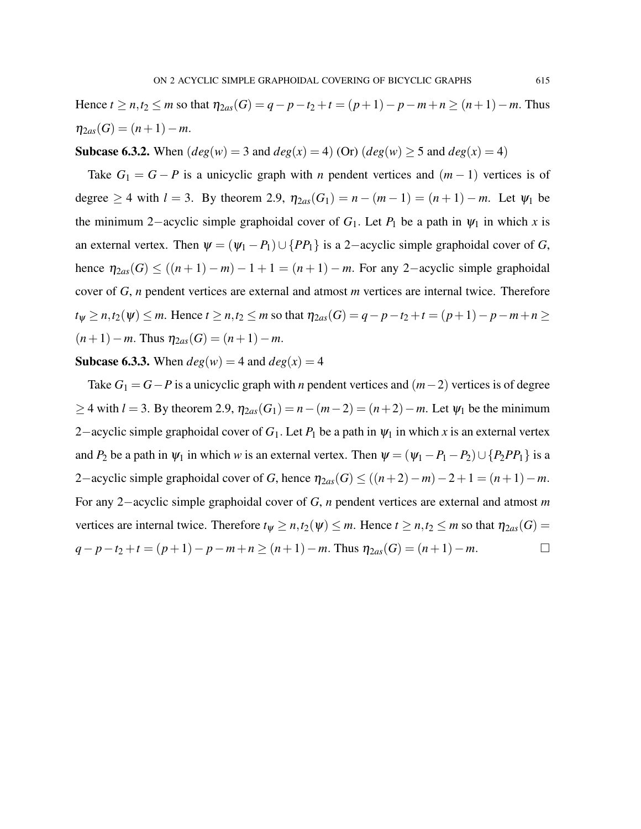Hence *t* ≥ *n*,*t*<sub>2</sub> ≤ *m* so that  $η_{2as}(G) = q - p - t_2 + t = (p + 1) - p - m + n ≥ (n + 1) - m$ . Thus  $\eta_{2as}(G) = (n+1)-m$ .

**Subcase 6.3.2.** When  $deg(w) = 3$  and  $deg(x) = 4$ ) (Or)  $deg(w) \ge 5$  and  $deg(x) = 4$ )

Take  $G_1 = G - P$  is a unicyclic graph with *n* pendent vertices and  $(m - 1)$  vertices is of degree  $\geq 4$  with  $l = 3$ . By theorem 2.9,  $\eta_{2as}(G_1) = n - (m-1) = (n+1) - m$ . Let  $\psi_1$  be the minimum 2–acyclic simple graphoidal cover of  $G_1$ . Let  $P_1$  be a path in  $\psi_1$  in which *x* is an external vertex. Then  $\psi = (\psi_1 - P_1) \cup \{PP_1\}$  is a 2-acyclic simple graphoidal cover of *G*, hence  $\eta_{2as}(G) \le ((n+1) - m) - 1 + 1 = (n+1) - m$ . For any 2-acyclic simple graphoidal cover of *G*, *n* pendent vertices are external and atmost *m* vertices are internal twice. Therefore  $t_{\psi}$  ≥ *n*,*t*<sub>2</sub>( $\psi$ ) ≤ *m*. Hence  $t \ge n$ ,*t*<sub>2</sub> ≤ *m* so that  $\eta_{2as}(G) = q - p - t_2 + t = (p + 1) - p - m + n \ge$  $(n+1) - m$ . Thus  $\eta_{2as}(G) = (n+1) - m$ .

**Subcase 6.3.3.** When  $deg(w) = 4$  and  $deg(x) = 4$ 

Take *G*<sup>1</sup> = *G*−*P* is a unicyclic graph with *n* pendent vertices and (*m*−2) vertices is of degree  $≥$  4 with *l* = 3. By theorem 2.9,  $η_{2as}(G_1) = n - (m-2) = (n+2) - m$ . Let  $ψ_1$  be the minimum 2−acyclic simple graphoidal cover of  $G_1$ . Let  $P_1$  be a path in  $\psi_1$  in which x is an external vertex and  $P_2$  be a path in  $\psi_1$  in which *w* is an external vertex. Then  $\psi = (\psi_1 - P_1 - P_2) \cup \{P_2PP_1\}$  is a 2−acyclic simple graphoidal cover of *G*, hence  $\eta_{2as}(G) \le ((n+2)-m)-2+1 = (n+1)-m$ . For any 2−acyclic simple graphoidal cover of *G*, *n* pendent vertices are external and atmost *m* vertices are internal twice. Therefore  $t_{\psi} \geq n, t_2(\psi) \leq m$ . Hence  $t \geq n, t_2 \leq m$  so that  $\eta_{2as}(G)$ *q*−*p*−*t*<sub>2</sub> +*t* = (*p*+1)−*p*−*m*+*n* ≥ (*n*+1)−*m*. Thus  $η_{2as}(G) = (n+1)-m$ . □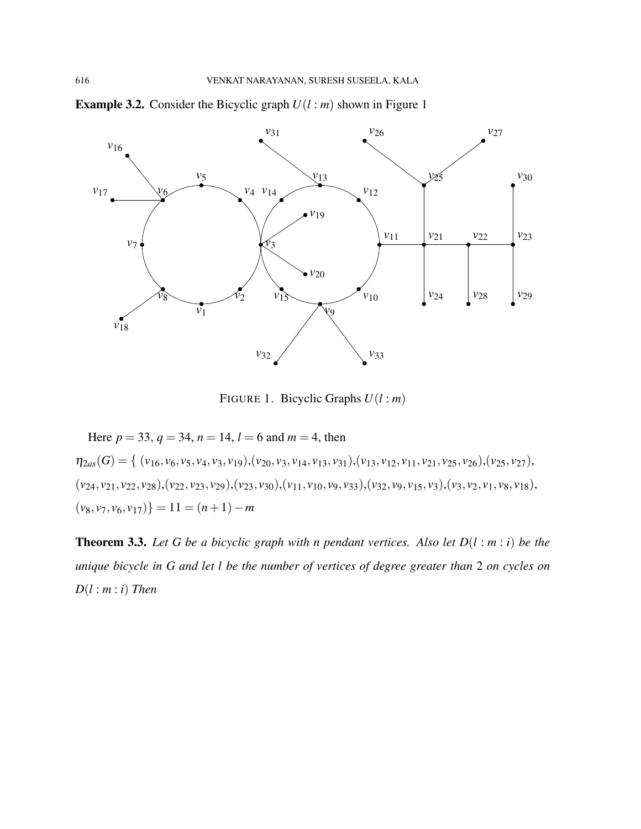

**Example 3.2.** Consider the Bicyclic graph  $U(l : m)$  shown in Figure 1

FIGURE 1. Bicyclic Graphs *U*(*l* : *m*)

Here  $p = 33$ ,  $q = 34$ ,  $n = 14$ ,  $l = 6$  and  $m = 4$ , then  $\eta_{2as}(G) = \{ (v_{16}, v_6, v_5, v_4, v_3, v_{19}), (v_{20}, v_3, v_{14}, v_{13}, v_{31}), (v_{13}, v_{12}, v_{11}, v_{21}, v_{25}, v_{26}), (v_{25}, v_{27}),$  $(v_{24}, v_{21}, v_{22}, v_{28}), (v_{22}, v_{23}, v_{29}), (v_{23}, v_{30}), (v_{11}, v_{10}, v_9, v_{33}), (v_{32}, v_9, v_{15}, v_3), (v_3, v_2, v_1, v_8, v_{18}),$  $(v_8, v_7, v_6, v_{17})$ } = 11 =  $(n+1) - m$ 

Theorem 3.3. *Let G be a bicyclic graph with n pendant vertices. Also let D*(*l* : *m* : *i*) *be the unique bicycle in G and let l be the number of vertices of degree greater than* 2 *on cycles on D*(*l* : *m* : *i*) *Then*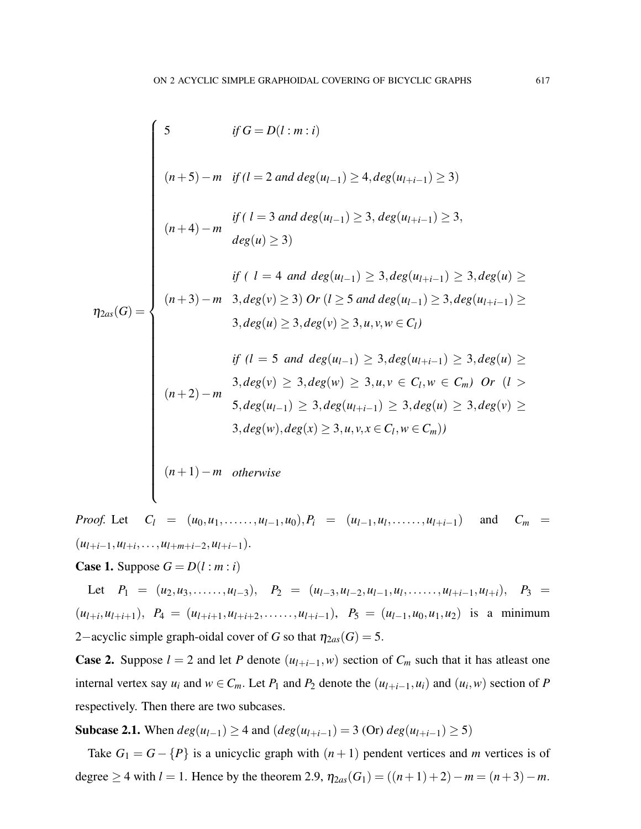$$
f \circ f = D(l : m : i)
$$
\n
$$
(n+5) - m \quad \text{if } (l = 2 \text{ and } deg(u_{l-1}) \ge 4, deg(u_{l+i-1}) \ge 3)
$$
\n
$$
i f (l = 3 \text{ and } deg(u_{l-1}) \ge 3, deg(u_{l+i-1}) \ge 3,
$$
\n
$$
deg(u) \ge 3)
$$
\n
$$
i f (l = 4 \text{ and } deg(u_{l-1}) \ge 3, deg(u_{l+i-1}) \ge 3, deg(u) \ge 3)
$$
\n
$$
i f (l = 4 \text{ and } deg(u_{l-1}) \ge 3, deg(u_{l+i-1}) \ge 3, deg(u) \ge 3, deg(u) \ge 3, deg(u) \ge 3, deg(u) \ge 3, deg(u) \ge 3, deg(u) \ge 3, deg(u) \ge 3, deg(u) \ge 3, deg(u) \ge 3, deg(u) \ge 3, deg(u) \ge 3, deg(u) \ge 3, deg(u_{l-1}) \ge 3, deg(u) \ge 3, deg(u) \ge 3, deg(u), deg(u) \ge 3, deg(u) \ge 3, deg(u) \ge 3, deg(u) \ge 3, deg(u) \ge 3, deg(u) \ge 3, deg(u) \ge 3, deg(u) \ge 3, deg(u) \ge 3, deg(u) \ge 3, deg(u) \ge 3, deg(u) \ge 3, deg(u) \ge 3, deg(u) \ge 3, deg(u) \ge 3, deg(u) \ge 3, deg(u) \ge 3, deg(u) \ge 3, deg(u) \ge 3, deg(u) \ge 3, deg(u) \ge 3, deg(u) \ge 3, deg(u) \ge 3, deg(u) \ge 3, deg(u) \ge 3, deg(u) \ge 3, deg(u) \ge 3, deg(u) \ge 3, deg(u) \ge 3, deg(u) \ge 3, deg(u) \ge 3, deg(u) \ge 3, deg(u) \ge 3, deg(u) \ge 3, deg(u) \ge 3, deg(u) \ge 3, deg(u) \ge 3, deg(u) \ge 3, deg(u) \ge 3, deg(u) \ge 3, deg(u) \ge 3, deg(u) \ge 3, deg(u) \ge 3, deg(u) \ge 3, deg(u) \ge 3, deg(u) \ge 3, deg(u) \ge 3, deg(u) \ge 3, deg(u) \ge 3, deg(u) \ge 3,
$$

*Proof.* Let  $C_l = (u_0, u_1, \ldots, u_{l-1}, u_0), P_i = (u_{l-1}, u_l, \ldots, u_{l+i-1})$  and  $C_m =$  $(u_{l+i-1}, u_{l+i}, \ldots, u_{l+m+i-2}, u_{l+i-1}).$ 

**Case 1.** Suppose  $G = D(l : m : i)$ 

Let  $P_1 = (u_2, u_3, \ldots, u_{l-3}),$   $P_2 = (u_{l-3}, u_{l-2}, u_{l-1}, u_l, \ldots, u_{l+i-1}, u_{l+i}),$   $P_3 =$  $(u_{l+i}, u_{l+i+1}), P_4 = (u_{l+i+1}, u_{l+i+2}, \ldots, u_{l+i-1}), P_5 = (u_{l-1}, u_0, u_1, u_2)$  is a minimum 2-acyclic simple graph-oidal cover of *G* so that  $\eta_{2as}(G) = 5$ .

**Case 2.** Suppose  $l = 2$  and let *P* denote  $(u_{l+i-1}, w)$  section of  $C_m$  such that it has at least one internal vertex say  $u_i$  and  $w \in C_m$ . Let  $P_1$  and  $P_2$  denote the  $(u_{l+i-1}, u_i)$  and  $(u_i, w)$  section of  $P$ respectively. Then there are two subcases.

**Subcase 2.1.** When  $deg(u_{l-1})$  ≥ 4 and  $deg(u_{l+i-1}) = 3$  (Or)  $deg(u_{l+i-1}) \ge 5$ )

Take  $G_1 = G - \{P\}$  is a unicyclic graph with  $(n+1)$  pendent vertices and *m* vertices is of degree  $\geq$  4 with *l* = 1. Hence by the theorem 2.9,  $\eta_{2as}(G_1) = ((n+1)+2) - m = (n+3) - m$ .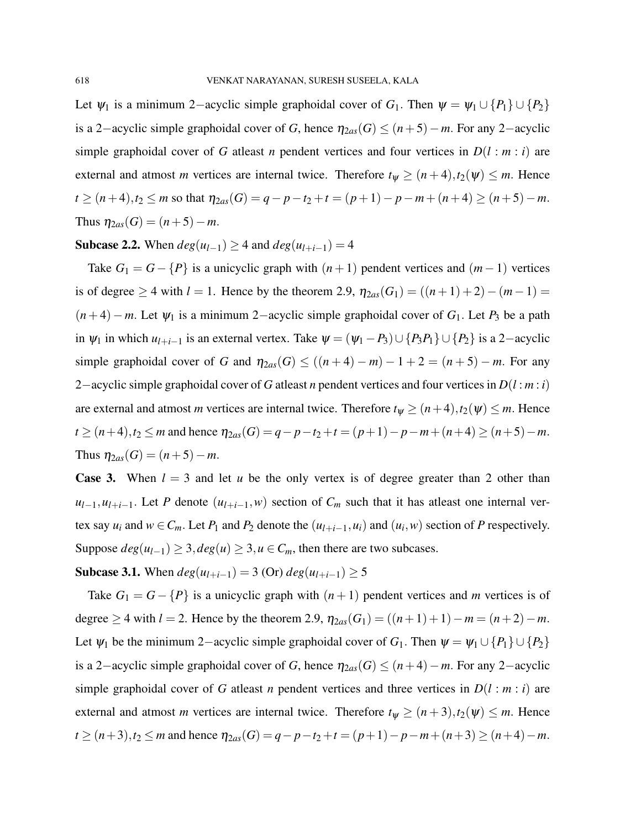Let  $\psi_1$  is a minimum 2–acyclic simple graphoidal cover of *G*<sub>1</sub>. Then  $\psi = \psi_1 \cup \{P_1\} \cup \{P_2\}$ is a 2−acyclic simple graphoidal cover of *G*, hence  $η_{2as}(G) ≤ (n+5) – m$ . For any 2−acyclic simple graphoidal cover of *G* atleast *n* pendent vertices and four vertices in  $D(l : m : i)$  are external and atmost *m* vertices are internal twice. Therefore  $t_{\psi} \geq (n+4), t_2(\psi) \leq m$ . Hence  $t \geq (n+4), t_2 \leq m$  so that  $\eta_{2as}(G) = q - p - t_2 + t = (p+1) - p - m + (n+4) \geq (n+5) - m$ . Thus  $\eta_{2as}(G) = (n+5) - m$ .

# Subcase 2.2. When  $deg(u_{l-1})$  ≥ 4 and  $deg(u_{l+i-1}) = 4$

Take  $G_1 = G - \{P\}$  is a unicyclic graph with  $(n + 1)$  pendent vertices and  $(m - 1)$  vertices is of degree ≥ 4 with  $l = 1$ . Hence by the theorem 2.9,  $\eta_{2as}(G_1) = ((n+1) + 2) - (m-1) =$  $(n+4) - m$ . Let  $\psi_1$  is a minimum 2-acyclic simple graphoidal cover of  $G_1$ . Let  $P_3$  be a path in  $\psi_1$  in which  $u_{l+i-1}$  is an external vertex. Take  $\psi = (\psi_1 - P_3) \cup \{P_3P_1\} \cup \{P_2\}$  is a 2-acyclic simple graphoidal cover of *G* and  $\eta_{2as}(G) \le ((n+4) - m) - 1 + 2 = (n+5) - m$ . For any 2−acyclic simple graphoidal cover of *G* atleast *n* pendent vertices and four vertices in *D*(*l* : *m* : *i*) are external and atmost *m* vertices are internal twice. Therefore  $t_{\psi} \geq (n+4), t_2(\psi) \leq m$ . Hence  $t \ge (n+4), t_2 \le m$  and hence  $\eta_{2as}(G) = q - p - t_2 + t = (p+1) - p - m + (n+4) \ge (n+5) - m$ . Thus  $\eta_{2as}(G) = (n+5) - m$ .

**Case 3.** When  $l = 3$  and let *u* be the only vertex is of degree greater than 2 other than  $u_{l-1}, u_{l+i-1}$ . Let *P* denote  $(u_{l+i-1}, w)$  section of  $C_m$  such that it has atleast one internal vertex say  $u_i$  and  $w \in C_m$ . Let  $P_1$  and  $P_2$  denote the  $(u_{l+i-1}, u_i)$  and  $(u_i, w)$  section of  $P$  respectively. Suppose  $deg(u_{l-1}) \geq 3, deg(u) \geq 3, u \in C_m$ , then there are two subcases.

Subcase 3.1. When  $deg(u_{l+i-1}) = 3$  (Or)  $deg(u_{l+i-1}) \ge 5$ 

Take  $G_1 = G - \{P\}$  is a unicyclic graph with  $(n+1)$  pendent vertices and *m* vertices is of degree  $\geq$  4 with *l* = 2. Hence by the theorem 2.9,  $\eta_{2as}(G_1) = ((n+1)+1) - m = (n+2) - m$ . Let  $\psi_1$  be the minimum 2–acyclic simple graphoidal cover of *G*<sub>1</sub>. Then  $\psi = \psi_1 \cup \{P_1\} \cup \{P_2\}$ is a 2−acyclic simple graphoidal cover of *G*, hence  $η_{2as}(G) ≤ (n+4) − m$ . For any 2−acyclic simple graphoidal cover of *G* at least *n* pendent vertices and three vertices in  $D(l : m : i)$  are external and atmost *m* vertices are internal twice. Therefore  $t_{\psi} \geq (n+3), t_2(\psi) \leq m$ . Hence  $t \geq (n+3), t_2 \leq m$  and hence  $\eta_{2as}(G) = q - p - t_2 + t = (p+1) - p - m + (n+3) \geq (n+4) - m$ .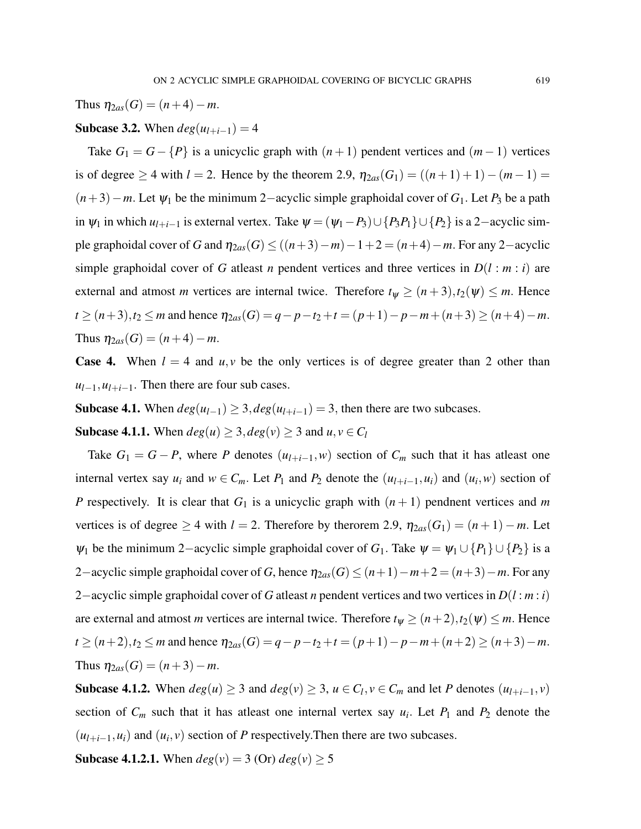Thus  $\eta_{2as}(G) = (n+4)-m$ .

## Subcase 3.2. When  $deg(u_{l+i-1}) = 4$

Take  $G_1 = G - \{P\}$  is a unicyclic graph with  $(n + 1)$  pendent vertices and  $(m - 1)$  vertices is of degree ≥ 4 with *l* = 2. Hence by the theorem 2.9,  $\eta_{2as}(G_1) = ((n+1)+1) - (m-1) =$ (*n*+3)−*m*. Let ψ<sup>1</sup> be the minimum 2−acyclic simple graphoidal cover of *G*1. Let *P*<sup>3</sup> be a path in  $\psi_1$  in which  $u_{l+i-1}$  is external vertex. Take  $\psi = (\psi_1 - P_3) \cup \{P_3P_1\} \cup \{P_2\}$  is a 2-acyclic simple graphoidal cover of *G* and  $\eta_{2as}(G) \le ((n+3)-m)-1+2 = (n+4)-m$ . For any 2-acyclic simple graphoidal cover of *G* atleast *n* pendent vertices and three vertices in  $D(l : m : i)$  are external and atmost *m* vertices are internal twice. Therefore  $t_{\psi} \geq (n+3), t_2(\psi) \leq m$ . Hence  $t \geq (n+3), t_2 \leq m$  and hence  $\eta_{2as}(G) = q - p - t_2 + t = (p+1) - p - m + (n+3) \geq (n+4) - m$ . Thus  $\eta_{2as}(G) = (n+4)-m$ .

**Case 4.** When  $l = 4$  and  $u, v$  be the only vertices is of degree greater than 2 other than  $u_{l-1}, u_{l+i-1}$ . Then there are four sub cases.

Subcase 4.1. When  $deg(u_{l-1}) \geq 3$ ,  $deg(u_{l+i-1}) = 3$ , then there are two subcases.

Subcase 4.1.1. When  $deg(u) \geq 3, deg(v) \geq 3$  and  $u, v \in C_l$ 

Take  $G_1 = G - P$ , where P denotes  $(u_{l+i-1}, w)$  section of  $C_m$  such that it has at least one internal vertex say  $u_i$  and  $w \in C_m$ . Let  $P_1$  and  $P_2$  denote the  $(u_{l+i-1}, u_i)$  and  $(u_i, w)$  section of *P* respectively. It is clear that  $G_1$  is a unicyclic graph with  $(n+1)$  pendnent vertices and *m* vertices is of degree  $\geq 4$  with  $l = 2$ . Therefore by the rorem 2.9,  $\eta_{2as}(G_1) = (n+1) - m$ . Let  $\psi_1$  be the minimum 2–acyclic simple graphoidal cover of  $G_1$ . Take  $\psi = \psi_1 \cup \{P_1\} \cup \{P_2\}$  is a 2−acyclic simple graphoidal cover of *G*, hence  $\eta_{2as}(G) \leq (n+1)-m+2 = (n+3)-m$ . For any 2−acyclic simple graphoidal cover of *G* atleast *n* pendent vertices and two vertices in *D*(*l* : *m* : *i*) are external and atmost *m* vertices are internal twice. Therefore  $t_{\psi} \ge (n+2), t_2(\psi) \le m$ . Hence  $t \ge (n+2), t_2 \le m$  and hence  $\eta_{2as}(G) = q - p - t_2 + t = (p+1) - p - m + (n+2) \ge (n+3) - m$ . Thus  $\eta_{2as}(G) = (n+3)-m$ .

Subcase 4.1.2. When  $deg(u) \geq 3$  and  $deg(v) \geq 3$ ,  $u \in C_l$ ,  $v \in C_m$  and let *P* denotes  $(u_{l+i-1}, v)$ section of  $C_m$  such that it has at least one internal vertex say  $u_i$ . Let  $P_1$  and  $P_2$  denote the  $(u_{l+i-1}, u_i)$  and  $(u_i, v)$  section of *P* respectively. Then there are two subcases.

**Subcase 4.1.2.1.** When  $deg(v) = 3$  (Or)  $deg(v) \ge 5$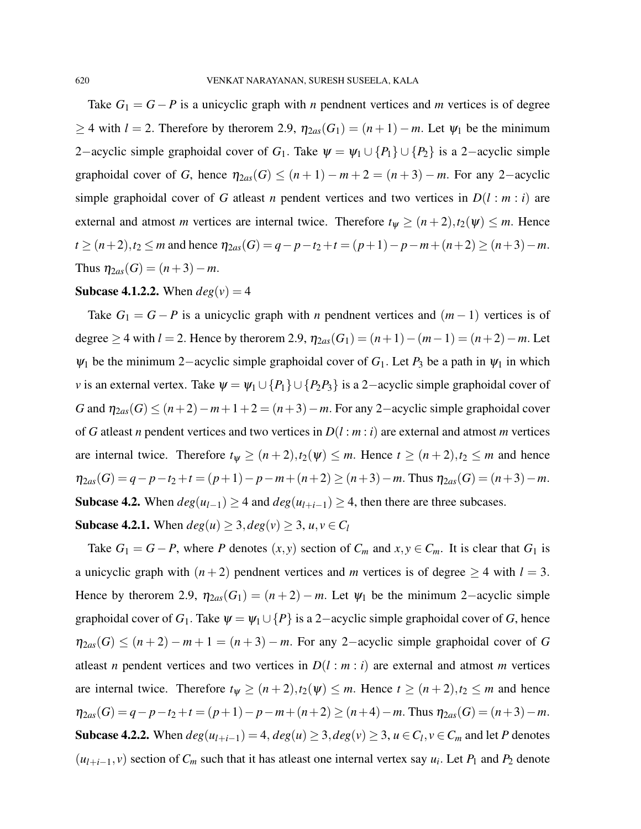Take  $G_1 = G - P$  is a unicyclic graph with *n* pendnent vertices and *m* vertices is of degree  $≥$  4 with *l* = 2. Therefore by therorem 2.9,  $η<sub>2as</sub>(G<sub>1</sub>) = (n+1) - m$ . Let  $ψ<sub>1</sub>$  be the minimum 2−acyclic simple graphoidal cover of  $G_1$ . Take  $\psi = \psi_1 \cup \{P_1\} \cup \{P_2\}$  is a 2−acyclic simple graphoidal cover of *G*, hence  $\eta_{2as}(G) \leq (n+1) - m + 2 = (n+3) - m$ . For any 2-acyclic simple graphoidal cover of *G* atleast *n* pendent vertices and two vertices in  $D(l : m : i)$  are external and atmost *m* vertices are internal twice. Therefore  $t_{\psi} \geq (n+2), t_2(\psi) \leq m$ . Hence  $t \ge (n+2), t_2 \le m$  and hence  $\eta_{2as}(G) = q - p - t_2 + t = (p+1) - p - m + (n+2) \ge (n+3) - m$ . Thus  $\eta_{2as}(G) = (n+3)-m$ .

#### **Subcase 4.1.2.2.** When  $deg(v) = 4$

Take  $G_1 = G - P$  is a unicyclic graph with *n* pendnent vertices and  $(m - 1)$  vertices is of degree ≥ 4 with *l* = 2. Hence by the rorem 2.9,  $\eta_{2as}(G_1) = (n+1) - (m-1) = (n+2) - m$ . Let  $\psi_1$  be the minimum 2–acyclic simple graphoidal cover of  $G_1$ . Let  $P_3$  be a path in  $\psi_1$  in which *v* is an external vertex. Take  $\psi = \psi_1 \cup \{P_1\} \cup \{P_2P_3\}$  is a 2-acyclic simple graphoidal cover of *G* and  $\eta_{2as}(G) \leq (n+2)-m+1+2 = (n+3)-m$ . For any 2-acyclic simple graphoidal cover of *G* atleast *n* pendent vertices and two vertices in *D*(*l* : *m* : *i*) are external and atmost *m* vertices are internal twice. Therefore  $t_{\psi} \ge (n+2), t_2(\psi) \le m$ . Hence  $t \ge (n+2), t_2 \le m$  and hence  $\eta_{2as}(G) = q - p - t_2 + t = (p+1) - p - m + (n+2) \ge (n+3) - m$ . Thus  $\eta_{2as}(G) = (n+3) - m$ . Subcase 4.2. When  $deg(u_{l-1})$  ≥ 4 and  $deg(u_{l+i-1})$  ≥ 4, then there are three subcases.

Subcase 4.2.1. When  $deg(u) \geq 3, deg(v) \geq 3, u, v \in C_l$ 

Take  $G_1 = G - P$ , where P denotes  $(x, y)$  section of  $C_m$  and  $x, y \in C_m$ . It is clear that  $G_1$  is a unicyclic graph with  $(n+2)$  pendnent vertices and *m* vertices is of degree  $\geq 4$  with  $l = 3$ . Hence by therorem 2.9,  $\eta_{2as}(G_1) = (n+2) - m$ . Let  $\psi_1$  be the minimum 2-acyclic simple graphoidal cover of  $G_1$ . Take  $\psi = \psi_1 \cup \{P\}$  is a 2-acyclic simple graphoidal cover of *G*, hence  $\eta_{2as}(G) \leq (n+2) - m + 1 = (n+3) - m$ . For any 2-acyclic simple graphoidal cover of *G* atleast *n* pendent vertices and two vertices in  $D(l : m : i)$  are external and atmost *m* vertices are internal twice. Therefore  $t_{\psi} \ge (n+2), t_2(\psi) \le m$ . Hence  $t \ge (n+2), t_2 \le m$  and hence  $\eta_{2as}(G) = q - p - t_2 + t = (p+1) - p - m + (n+2) \ge (n+4) - m$ . Thus  $\eta_{2as}(G) = (n+3) - m$ . Subcase 4.2.2. When  $deg(u_{l+i-1}) = 4$ ,  $deg(u) \geq 3$ ,  $deg(v) \geq 3$ ,  $u \in C_l$ ,  $v \in C_m$  and let *P* denotes  $(u_{l+i-1}, v)$  section of  $C_m$  such that it has atleast one internal vertex say  $u_i$ . Let  $P_1$  and  $P_2$  denote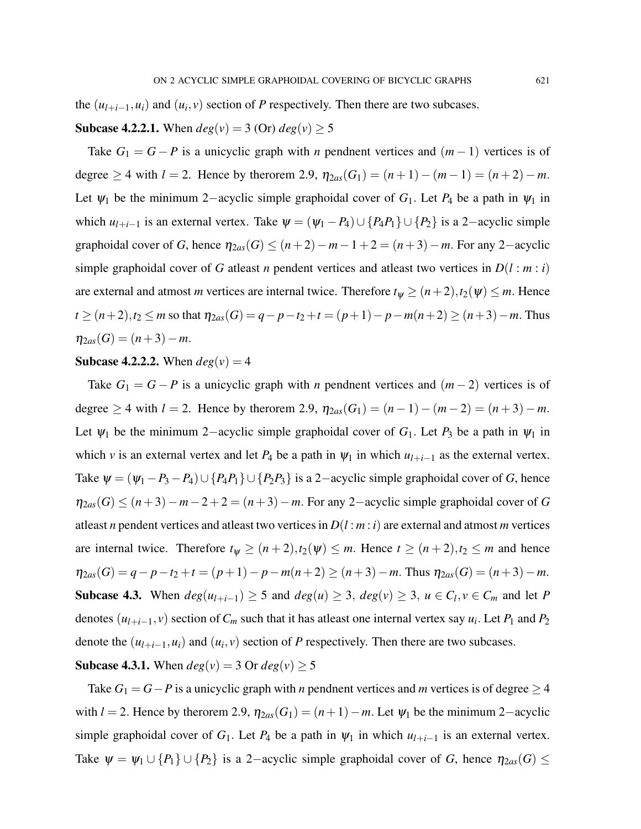the  $(u_{l+i-1}, u_i)$  and  $(u_i, v)$  section of *P* respectively. Then there are two subcases.

## **Subcase 4.2.2.1.** When  $deg(v) = 3$  (Or)  $deg(v) > 5$

Take  $G_1 = G - P$  is a unicyclic graph with *n* pendnent vertices and  $(m - 1)$  vertices is of degree  $\geq 4$  with  $l = 2$ . Hence by the rorem 2.9,  $\eta_{2as}(G_1) = (n+1) - (m-1) = (n+2) - m$ . Let  $\psi_1$  be the minimum 2–acyclic simple graphoidal cover of  $G_1$ . Let  $P_4$  be a path in  $\psi_1$  in which  $u_{l+i-1}$  is an external vertex. Take  $\psi = (\psi_1 - P_4) \cup \{P_4P_1\} \cup \{P_2\}$  is a 2-acyclic simple graphoidal cover of *G*, hence  $\eta_{2as}(G) \leq (n+2)-m-1+2 = (n+3)-m$ . For any 2-acyclic simple graphoidal cover of *G* atleast *n* pendent vertices and atleast two vertices in  $D(l : m : i)$ are external and atmost *m* vertices are internal twice. Therefore  $t_{\psi} \ge (n+2)$ ,  $t_2(\psi) \le m$ . Hence *t* ≥  $(n+2)$ ,  $t_2$  ≤ *m* so that  $\eta_{2as}(G) = q - p - t_2 + t = (p+1) - p - m(n+2) \ge (n+3) - m$ . Thus  $\eta_{2as}(G) = (n+3)-m.$ 

## **Subcase 4.2.2.2.** When  $deg(v) = 4$

Take  $G_1 = G - P$  is a unicyclic graph with *n* pendnent vertices and  $(m-2)$  vertices is of degree  $\geq 4$  with  $l = 2$ . Hence by the rorem 2.9,  $\eta_{2as}(G_1) = (n-1) - (m-2) = (n+3) - m$ . Let  $\psi_1$  be the minimum 2–acyclic simple graphoidal cover of  $G_1$ . Let  $P_3$  be a path in  $\psi_1$  in which *v* is an external vertex and let  $P_4$  be a path in  $\psi_1$  in which  $u_{l+i-1}$  as the external vertex. Take  $\psi = (\psi_1 - P_3 - P_4) \cup \{P_4P_1\} \cup \{P_2P_3\}$  is a 2-acyclic simple graphoidal cover of *G*, hence  $\eta_{2as}(G) \leq (n+3)-m-2+2 = (n+3)-m$ . For any 2-acyclic simple graphoidal cover of *G* at least *n* pendent vertices and at least two vertices in  $D(l : m : i)$  are external and atmost *m* vertices are internal twice. Therefore  $t_{\psi} \ge (n+2), t_2(\psi) \le m$ . Hence  $t \ge (n+2), t_2 \le m$  and hence  $\eta_{2as}(G) = q - p - t_2 + t = (p+1) - p - m(n+2) \ge (n+3) - m$ . Thus  $\eta_{2as}(G) = (n+3) - m$ . Subcase 4.3. When  $deg(u_{l+i-1}) \ge 5$  and  $deg(u) \ge 3$ ,  $deg(v) \ge 3$ ,  $u \in C_l$ ,  $v \in C_m$  and let *P* denotes  $(u_{l+i-1}, v)$  section of  $C_m$  such that it has atleast one internal vertex say  $u_i$ . Let  $P_1$  and  $P_2$ denote the  $(u_{l+i-1}, u_i)$  and  $(u_i, v)$  section of *P* respectively. Then there are two subcases.

## **Subcase 4.3.1.** When  $deg(v) = 3$  Or  $deg(v) \ge 5$

Take  $G_1 = G - P$  is a unicyclic graph with *n* pendnent vertices and *m* vertices is of degree  $\geq 4$ with  $l = 2$ . Hence by therorem 2.9,  $\eta_{2as}(G_1) = (n+1) - m$ . Let  $\psi_1$  be the minimum 2-acyclic simple graphoidal cover of  $G_1$ . Let  $P_4$  be a path in  $\psi_1$  in which  $u_{l+i-1}$  is an external vertex. Take  $\psi = \psi_1 \cup \{P_1\} \cup \{P_2\}$  is a 2-acyclic simple graphoidal cover of *G*, hence  $\eta_{2as}(G) \leq$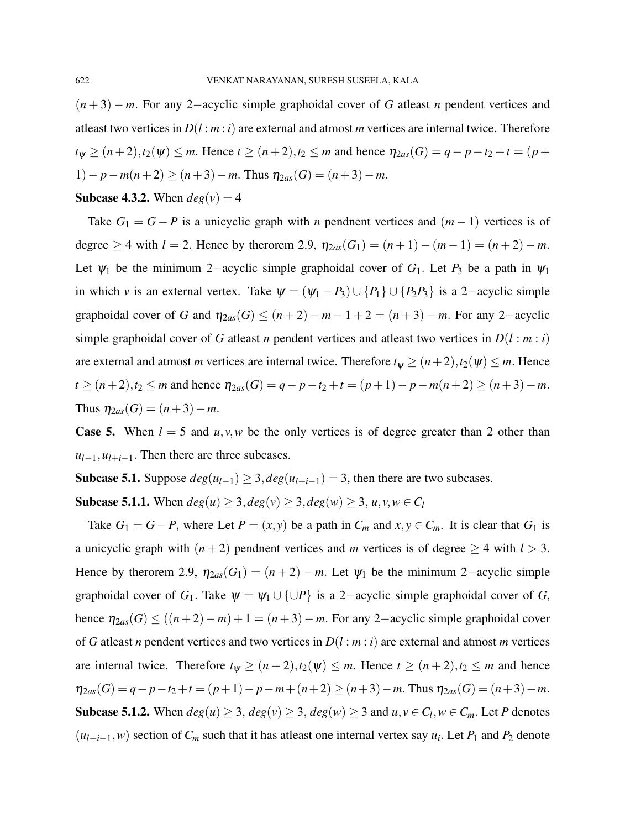(*n* + 3) − *m*. For any 2−acyclic simple graphoidal cover of *G* atleast *n* pendent vertices and atleast two vertices in  $D(l : m : i)$  are external and atmost *m* vertices are internal twice. Therefore  $t_{\psi} \geq (n+2), t_2(\psi) \leq m$ . Hence  $t \geq (n+2), t_2 \leq m$  and hence  $\eta_{2as}(G) = q - p - t_2 + t = (p+1)$ 1)− *p*−*m*(*n*+2) ≥ (*n*+3)−*m*. Thus  $η_{2as}(G) = (n+3)-m$ .

**Subcase 4.3.2.** When  $deg(v) = 4$ 

Take  $G_1 = G - P$  is a unicyclic graph with *n* pendnent vertices and  $(m - 1)$  vertices is of degree  $\geq 4$  with  $l = 2$ . Hence by the rorem 2.9,  $\eta_{2as}(G_1) = (n+1) - (m-1) = (n+2) - m$ . Let  $\psi_1$  be the minimum 2–acyclic simple graphoidal cover of  $G_1$ . Let  $P_3$  be a path in  $\psi_1$ in which *v* is an external vertex. Take  $\psi = (\psi_1 - P_3) \cup \{P_1\} \cup \{P_2P_3\}$  is a 2-acyclic simple graphoidal cover of *G* and  $\eta_{2as}(G) \leq (n+2) - m - 1 + 2 = (n+3) - m$ . For any 2-acyclic simple graphoidal cover of *G* atleast *n* pendent vertices and atleast two vertices in  $D(l : m : i)$ are external and atmost *m* vertices are internal twice. Therefore  $t_{\psi} \geq (n+2), t_2(\psi) \leq m$ . Hence  $t \geq (n+2), t_2 \leq m$  and hence  $\eta_{2as}(G) = q - p - t_2 + t = (p+1) - p - m(n+2) \geq (n+3) - m$ . Thus  $\eta_{2as}(G) = (n+3)-m$ .

**Case 5.** When  $l = 5$  and  $u, v, w$  be the only vertices is of degree greater than 2 other than  $u_{l-1}, u_{l+i-1}$ . Then there are three subcases.

Subcase 5.1. Suppose  $deg(u_{l-1})$  ≥ 3,  $deg(u_{l+i-1})$  = 3, then there are two subcases.

Subcase 5.1.1. When  $deg(u) \ge 3, deg(v) \ge 3, deg(w) \ge 3, u, v, w \in C_l$ 

Take  $G_1 = G - P$ , where Let  $P = (x, y)$  be a path in  $C_m$  and  $x, y \in C_m$ . It is clear that  $G_1$  is a unicyclic graph with  $(n+2)$  pendnent vertices and *m* vertices is of degree  $\geq 4$  with  $l > 3$ . Hence by therorem 2.9,  $\eta_{2as}(G_1) = (n+2) - m$ . Let  $\psi_1$  be the minimum 2-acyclic simple graphoidal cover of  $G_1$ . Take  $\psi = \psi_1 \cup \{\cup P\}$  is a 2-acyclic simple graphoidal cover of *G*, hence  $\eta_{2as}(G) \le ((n+2)-m) + 1 = (n+3)-m$ . For any 2-acyclic simple graphoidal cover of *G* atleast *n* pendent vertices and two vertices in  $D(l : m : i)$  are external and atmost *m* vertices are internal twice. Therefore  $t_{\psi} \ge (n+2), t_2(\psi) \le m$ . Hence  $t \ge (n+2), t_2 \le m$  and hence  $\eta_{2as}(G) = q - p - t_2 + t = (p+1) - p - m + (n+2) \ge (n+3) - m$ . Thus  $\eta_{2as}(G) = (n+3) - m$ . Subcase 5.1.2. When  $deg(u) \ge 3$ ,  $deg(v) \ge 3$ ,  $deg(w) \ge 3$  and  $u, v \in C_l$ ,  $w \in C_m$ . Let *P* denotes  $(u_{l+i-1}, w)$  section of  $C_m$  such that it has at least one internal vertex say  $u_i$ . Let  $P_1$  and  $P_2$  denote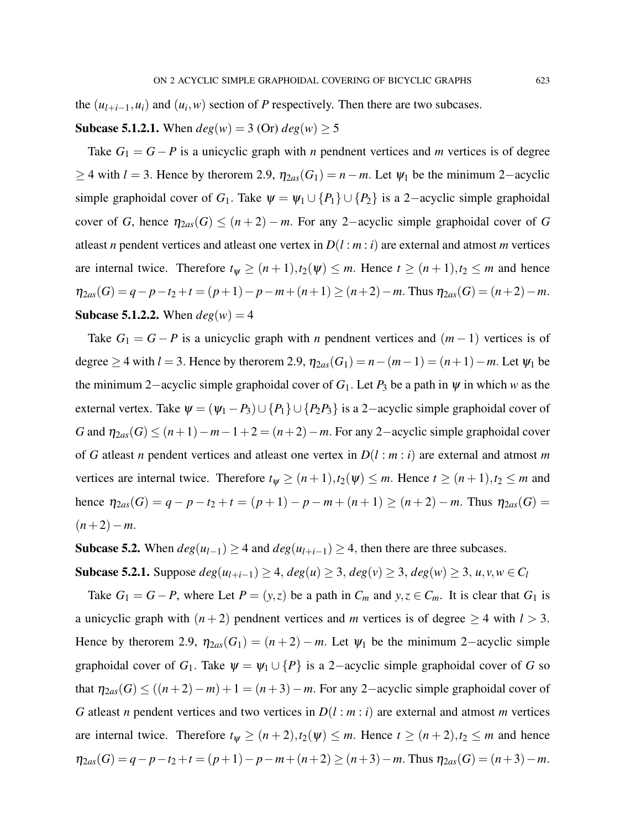the  $(u_{l+i-1}, u_i)$  and  $(u_i, w)$  section of *P* respectively. Then there are two subcases.

**Subcase 5.1.2.1.** When  $deg(w) = 3$  (Or)  $deg(w) > 5$ 

Take  $G_1 = G - P$  is a unicyclic graph with *n* pendnent vertices and *m* vertices is of degree  $≥$  4 with *l* = 3. Hence by therorem 2.9,  $η<sub>2as</sub>(G<sub>1</sub>) = n - m$ . Let  $ψ<sub>1</sub>$  be the minimum 2–acyclic simple graphoidal cover of *G*<sub>1</sub>. Take  $\psi = \psi_1 \cup \{P_1\} \cup \{P_2\}$  is a 2-acyclic simple graphoidal cover of *G*, hence  $\eta_{2as}(G) \leq (n+2) - m$ . For any 2-acyclic simple graphoidal cover of *G* at least *n* pendent vertices and at least one vertex in  $D(l : m : i)$  are external and atmost *m* vertices are internal twice. Therefore  $t_{\psi} \ge (n+1), t_2(\psi) \le m$ . Hence  $t \ge (n+1), t_2 \le m$  and hence  $\eta_{2as}(G) = q - p - t_2 + t = (p+1) - p - m + (n+1) \ge (n+2) - m$ . Thus  $\eta_{2as}(G) = (n+2) - m$ . **Subcase 5.1.2.2.** When  $deg(w) = 4$ 

Take  $G_1 = G - P$  is a unicyclic graph with *n* pendnent vertices and  $(m - 1)$  vertices is of degree  $\geq$  4 with *l* = 3. Hence by the rorem 2.9,  $\eta_{2as}(G_1) = n - (m-1) = (n+1) - m$ . Let  $\psi_1$  be the minimum 2−acyclic simple graphoidal cover of *G*1. Let *P*<sup>3</sup> be a path in ψ in which *w* as the external vertex. Take  $\psi = (\psi_1 - P_3) \cup \{P_1\} \cup \{P_2P_3\}$  is a 2-acyclic simple graphoidal cover of *G* and  $\eta_{2as}(G)$  ≤ (*n*+1)−*m*−1+2 = (*n*+2)−*m*. For any 2-acyclic simple graphoidal cover of *G* atleast *n* pendent vertices and atleast one vertex in *D*(*l* : *m* : *i*) are external and atmost *m* vertices are internal twice. Therefore  $t_{\psi} \ge (n+1), t_2(\psi) \le m$ . Hence  $t \ge (n+1), t_2 \le m$  and hence  $\eta_{2as}(G) = q - p - t_2 + t = (p+1) - p - m + (n+1) \ge (n+2) - m$ . Thus  $\eta_{2as}(G) =$  $(n+2)-m$ .

Subcase 5.2. When  $deg(u_{l-1})$  ≥ 4 and  $deg(u_{l+i-1})$  ≥ 4, then there are three subcases.

Subcase 5.2.1. Suppose  $deg(u_{l+i-1})$  ≥ 4,  $deg(u)$  ≥ 3,  $deg(v)$  ≥ 3,  $deg(w)$  ≥ 3,  $u, v, w \in C_l$ 

Take  $G_1 = G - P$ , where Let  $P = (y, z)$  be a path in  $C_m$  and  $y, z \in C_m$ . It is clear that  $G_1$  is a unicyclic graph with  $(n+2)$  pendnent vertices and *m* vertices is of degree  $\geq 4$  with  $l > 3$ . Hence by therorem 2.9,  $\eta_{2as}(G_1) = (n+2) - m$ . Let  $\psi_1$  be the minimum 2–acyclic simple graphoidal cover of *G*<sub>1</sub>. Take  $\psi = \psi_1 \cup \{P\}$  is a 2-acyclic simple graphoidal cover of *G* so that  $\eta_{2as}(G) \le ((n+2)-m) + 1 = (n+3)-m$ . For any 2-acyclic simple graphoidal cover of *G* atleast *n* pendent vertices and two vertices in *D*(*l* : *m* : *i*) are external and atmost *m* vertices are internal twice. Therefore  $t_{\psi} \ge (n+2), t_2(\psi) \le m$ . Hence  $t \ge (n+2), t_2 \le m$  and hence  $\eta_{2as}(G) = q - p - t_2 + t = (p+1) - p - m + (n+2) \ge (n+3) - m$ . Thus  $\eta_{2as}(G) = (n+3) - m$ .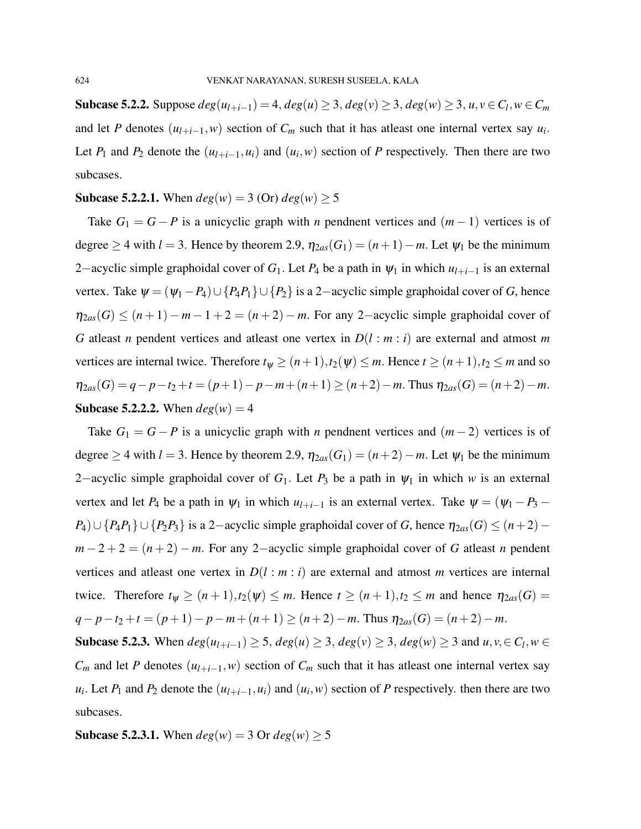Subcase 5.2.2. Suppose  $deg(u_{l+i-1}) = 4$ ,  $deg(u) ≥ 3$ ,  $deg(v) ≥ 3$ ,  $deg(w) ≥ 3$ ,  $u, v ∈ C_l, w ∈ C_m$ and let *P* denotes  $(u_{l+i-1}, w)$  section of  $C_m$  such that it has atleast one internal vertex say  $u_i$ . Let  $P_1$  and  $P_2$  denote the  $(u_{l+i-1}, u_i)$  and  $(u_i, w)$  section of  $P$  respectively. Then there are two subcases.

## **Subcase 5.2.2.1.** When  $deg(w) = 3$  (Or)  $deg(w) \ge 5$

Take  $G_1 = G - P$  is a unicyclic graph with *n* pendnent vertices and  $(m - 1)$  vertices is of degree  $\geq$  4 with *l* = 3. Hence by theorem 2.9,  $\eta_{2as}(G_1) = (n+1) - m$ . Let  $\psi_1$  be the minimum 2−acyclic simple graphoidal cover of  $G_1$ . Let  $P_4$  be a path in  $\psi_1$  in which  $u_{l+i-1}$  is an external vertex. Take  $\psi = (\psi_1 - P_4) \cup \{P_4P_1\} \cup \{P_2\}$  is a 2-acyclic simple graphoidal cover of *G*, hence  $\eta_{2as}(G) \leq (n+1) - m - 1 + 2 = (n+2) - m$ . For any 2-acyclic simple graphoidal cover of *G* atleast *n* pendent vertices and atleast one vertex in *D*(*l* : *m* : *i*) are external and atmost *m* vertices are internal twice. Therefore  $t_{\psi} \ge (n+1), t_2(\psi) \le m$ . Hence  $t \ge (n+1), t_2 \le m$  and so  $\eta_{2as}(G) = q - p - t_2 + t = (p+1) - p - m + (n+1) \ge (n+2) - m$ . Thus  $\eta_{2as}(G) = (n+2) - m$ . **Subcase 5.2.2.2.** When  $deg(w) = 4$ 

Take  $G_1 = G - P$  is a unicyclic graph with *n* pendnent vertices and  $(m-2)$  vertices is of degree  $\geq$  4 with *l* = 3. Hence by theorem 2.9,  $\eta_{2as}(G_1) = (n+2) - m$ . Let  $\psi_1$  be the minimum 2−acyclic simple graphoidal cover of *G*<sub>1</sub>. Let *P*<sub>3</sub> be a path in  $ψ$ <sub>1</sub> in which *w* is an external vertex and let  $P_4$  be a path in  $\psi_1$  in which  $u_{l+i-1}$  is an external vertex. Take  $\psi = (\psi_1 - P_3 - \psi_1)$ *P*<sub>4</sub>)∪ {*P*<sub>4</sub>*P*<sub>1</sub>}∪ {*P*<sub>2</sub>*P*<sub>3</sub>} is a 2−acyclic simple graphoidal cover of *G*, hence  $\eta_{2as}(G) \leq (n+2)$ −  $m-2+2=(n+2)-m$ . For any 2-acyclic simple graphoidal cover of *G* atleast *n* pendent vertices and at least one vertex in  $D(l : m : i)$  are external and atmost *m* vertices are internal twice. Therefore  $t_{\psi} \geq (n+1), t_2(\psi) \leq m$ . Hence  $t \geq (n+1), t_2 \leq m$  and hence  $\eta_{2as}(G) =$  $q-p-t_2+t = (p+1)-p-m+(n+1) \ge (n+2)-m$ . Thus  $\eta_{2as}(G) = (n+2)-m$ .

Subcase 5.2.3. When  $deg(u_{l+i-1}) \ge 5$ ,  $deg(u) \ge 3$ ,  $deg(v) \ge 3$ ,  $deg(w) \ge 3$  and  $u, v, \in C_l, w \in C_l$  $C_m$  and let *P* denotes  $(u_{l+i-1}, w)$  section of  $C_m$  such that it has atleast one internal vertex say  $u_i$ . Let  $P_1$  and  $P_2$  denote the  $(u_{l+i-1}, u_i)$  and  $(u_i, w)$  section of  $P$  respectively. then there are two subcases.

**Subcase 5.2.3.1.** When  $deg(w) = 3$  Or  $deg(w) \ge 5$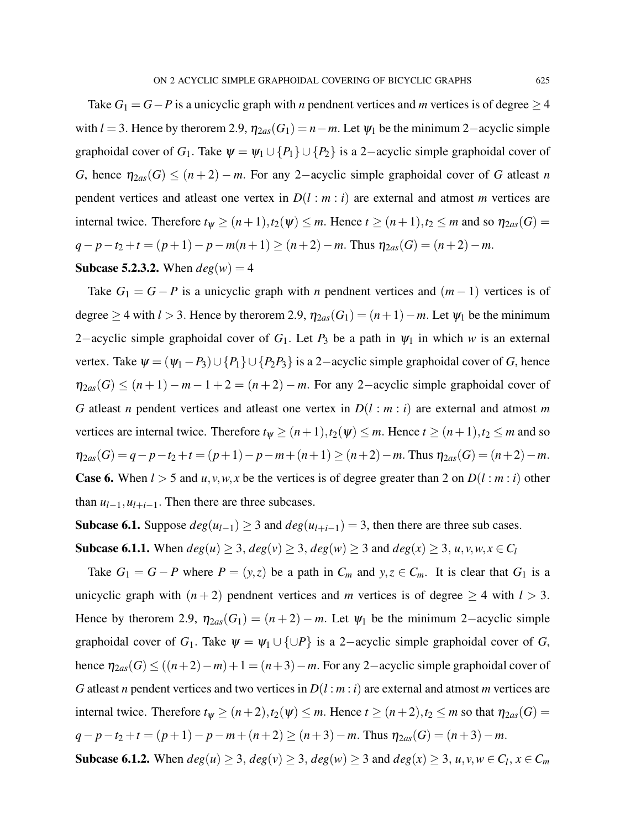Take  $G_1 = G - P$  is a unicyclic graph with *n* pendnent vertices and *m* vertices is of degree  $\geq 4$ with  $l = 3$ . Hence by therorem 2.9,  $\eta_{2as}(G_1) = n - m$ . Let  $\psi_1$  be the minimum 2-acyclic simple graphoidal cover of *G*<sub>1</sub>. Take  $\psi = \psi_1 \cup \{P_1\} \cup \{P_2\}$  is a 2-acyclic simple graphoidal cover of *G*, hence  $\eta_{2as}(G) \leq (n+2) - m$ . For any 2-acyclic simple graphoidal cover of *G* atleast *n* pendent vertices and atleast one vertex in  $D(l : m : i)$  are external and atmost *m* vertices are internal twice. Therefore  $t_{\psi} \ge (n+1), t_2(\psi) \le m$ . Hence  $t \ge (n+1), t_2 \le m$  and so  $\eta_{2as}(G) =$ *q*−*p*−*t*<sub>2</sub> +*t* = (*p*+1)− *p*−*m*(*n*+1) ≥ (*n*+2)−*m*. Thus  $η_{2as}(G) = (n+2) - m$ . **Subcase 5.2.3.2.** When  $deg(w) = 4$ 

Take  $G_1 = G - P$  is a unicyclic graph with *n* pendnent vertices and  $(m - 1)$  vertices is of degree  $\geq$  4 with *l* > 3. Hence by the rorem 2.9,  $\eta_{2as}(G_1) = (n+1) - m$ . Let  $\psi_1$  be the minimum 2–acyclic simple graphoidal cover of  $G_1$ . Let  $P_3$  be a path in  $\psi_1$  in which *w* is an external vertex. Take  $\psi = (\psi_1 - P_3) \cup \{P_1\} \cup \{P_2P_3\}$  is a 2-acyclic simple graphoidal cover of *G*, hence  $\eta_{2as}(G) \leq (n+1) - m - 1 + 2 = (n+2) - m$ . For any 2-acyclic simple graphoidal cover of *G* at least *n* pendent vertices and at least one vertex in  $D(l : m : i)$  are external and atmost *m* vertices are internal twice. Therefore  $t_{\psi} \ge (n+1), t_2(\psi) \le m$ . Hence  $t \ge (n+1), t_2 \le m$  and so  $\eta_{2as}(G) = q - p - t_2 + t = (p+1) - p - m + (n+1) \ge (n+2) - m$ . Thus  $\eta_{2as}(G) = (n+2) - m$ . **Case 6.** When  $l > 5$  and  $u, v, w, x$  be the vertices is of degree greater than 2 on  $D(l : m : i)$  other than  $u_{l-1}, u_{l+i-1}$ . Then there are three subcases.

Subcase 6.1. Suppose  $deg(u_{l-1})$  ≥ 3 and  $deg(u_{l+i-1}) = 3$ , then there are three sub cases.

Subcase 6.1.1. When *deg*(*u*) ≥ 3, *deg*(*v*) ≥ 3, *deg*(*w*) ≥ 3 and *deg*(*x*) ≥ 3, *u*,*v*,*w*, *x* ∈ *C*<sub>*l*</sub>

Take  $G_1 = G - P$  where  $P = (y, z)$  be a path in  $C_m$  and  $y, z \in C_m$ . It is clear that  $G_1$  is a unicyclic graph with  $(n+2)$  pendnent vertices and *m* vertices is of degree  $\geq 4$  with  $l > 3$ . Hence by therorem 2.9,  $\eta_{2as}(G_1) = (n+2) - m$ . Let  $\psi_1$  be the minimum 2-acyclic simple graphoidal cover of  $G_1$ . Take  $\psi = \psi_1 \cup \{\cup P\}$  is a 2-acyclic simple graphoidal cover of *G*, hence  $\eta_{2as}(G) \le ((n+2)-m)+1 = (n+3)-m$ . For any 2-acyclic simple graphoidal cover of *G* atleast *n* pendent vertices and two vertices in *D*(*l* : *m* : *i*) are external and atmost *m* vertices are internal twice. Therefore  $t_{\psi} \ge (n+2), t_2(\psi) \le m$ . Hence  $t \ge (n+2), t_2 \le m$  so that  $\eta_{2as}(G) =$  $q-p-t_2+t = (p+1)-p-m+(n+2) \ge (n+3)-m$ . Thus  $\eta_{2as}(G) = (n+3)-m$ . Subcase 6.1.2. When  $deg(u) \ge 3$ ,  $deg(v) \ge 3$ ,  $deg(w) \ge 3$  and  $deg(x) \ge 3$ ,  $u, v, w \in C_l$ ,  $x \in C_m$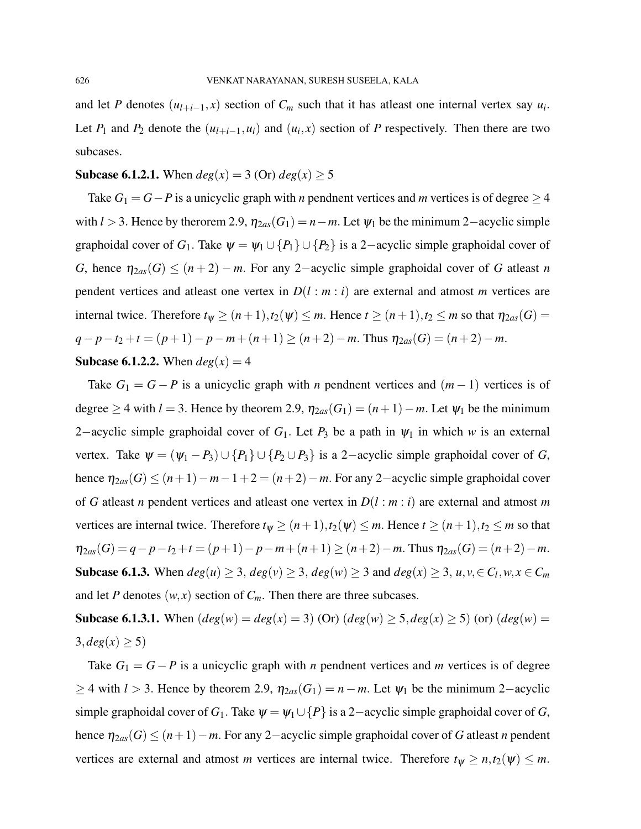and let *P* denotes  $(u_{l+i-1}, x)$  section of  $C_m$  such that it has atleast one internal vertex say  $u_i$ . Let  $P_1$  and  $P_2$  denote the  $(u_{l+i-1}, u_i)$  and  $(u_i, x)$  section of  $P$  respectively. Then there are two subcases.

## **Subcase 6.1.2.1.** When  $deg(x) = 3$  (Or)  $deg(x) \ge 5$

Take  $G_1 = G - P$  is a unicyclic graph with *n* pendnent vertices and *m* vertices is of degree  $\geq 4$ with  $l > 3$ . Hence by therorem 2.9,  $\eta_{2as}(G_1) = n - m$ . Let  $\psi_1$  be the minimum 2-acyclic simple graphoidal cover of *G*<sub>1</sub>. Take  $\psi = \psi_1 \cup \{P_1\} \cup \{P_2\}$  is a 2-acyclic simple graphoidal cover of *G*, hence  $\eta_{2as}(G) \leq (n+2) - m$ . For any 2-acyclic simple graphoidal cover of *G* atleast *n* pendent vertices and atleast one vertex in  $D(l : m : i)$  are external and atmost *m* vertices are internal twice. Therefore  $t_{\psi} \ge (n+1), t_2(\psi) \le m$ . Hence  $t \ge (n+1), t_2 \le m$  so that  $\eta_{2as}(G) =$ *q*−*p*−*t*<sub>2</sub> + *t* = (*p*+1)− *p*−*m*+ (*n*+1) ≥ (*n*+2)−*m*. Thus  $η_{2as}(G) = (n+2)-m$ . **Subcase 6.1.2.2.** When  $deg(x) = 4$ 

Take  $G_1 = G - P$  is a unicyclic graph with *n* pendnent vertices and  $(m - 1)$  vertices is of degree  $\geq$  4 with *l* = 3. Hence by theorem 2.9,  $\eta_{2as}(G_1) = (n+1) - m$ . Let  $\psi_1$  be the minimum 2−acyclic simple graphoidal cover of *G*<sub>1</sub>. Let *P*<sub>3</sub> be a path in  $ψ$ <sub>1</sub> in which *w* is an external vertex. Take  $\psi = (\psi_1 - P_3) \cup \{P_1\} \cup \{P_2 \cup P_3\}$  is a 2-acyclic simple graphoidal cover of *G*, hence  $\eta_{2as}(G) \leq (n+1)-m-1+2 = (n+2)-m$ . For any 2-acyclic simple graphoidal cover of *G* atleast *n* pendent vertices and atleast one vertex in *D*(*l* : *m* : *i*) are external and atmost *m* vertices are internal twice. Therefore  $t_{\psi} \ge (n+1), t_2(\psi) \le m$ . Hence  $t \ge (n+1), t_2 \le m$  so that  $\eta_{2as}(G) = q - p - t_2 + t = (p+1) - p - m + (n+1) \ge (n+2) - m$ . Thus  $\eta_{2as}(G) = (n+2) - m$ . Subcase 6.1.3. When  $deg(u) \ge 3$ ,  $deg(v) \ge 3$ ,  $deg(w) \ge 3$  and  $deg(x) \ge 3$ ,  $u, v, \in C_l, w, x \in C_m$ and let *P* denotes  $(w, x)$  section of  $C_m$ . Then there are three subcases.

**Subcase 6.1.3.1.** When  $deg(w) = deg(x) = 3)$  (Or)  $deg(w) \ge 5, deg(x) \ge 5)$  (or)  $deg(w) =$  $3, deg(x) \ge 5$ 

Take  $G_1 = G - P$  is a unicyclic graph with *n* pendnent vertices and *m* vertices is of degree  $≥$  4 with *l* > 3. Hence by theorem 2.9,  $η_{2as}(G_1) = n - m$ . Let  $ψ_1$  be the minimum 2–acyclic simple graphoidal cover of *G*<sub>1</sub>. Take  $\psi = \psi_1 \cup \{P\}$  is a 2-acyclic simple graphoidal cover of *G*, hence  $\eta_{2as}(G) \leq (n+1)-m$ . For any 2-acyclic simple graphoidal cover of *G* atleast *n* pendent vertices are external and atmost *m* vertices are internal twice. Therefore  $t_{\psi} \ge n, t_2(\psi) \le m$ .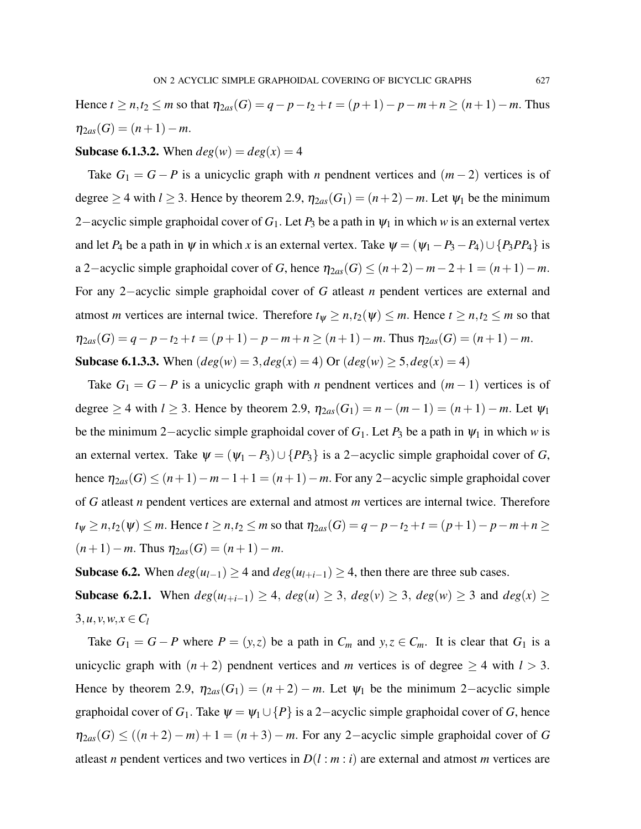Hence *t* ≥ *n*,*t*<sub>2</sub> ≤ *m* so that  $\eta_{2as}(G) = q - p - t_2 + t = (p + 1) - p - m + n \ge (n + 1) - m$ . Thus  $\eta_{2as}(G) = (n+1)-m.$ 

#### **Subcase 6.1.3.2.** When  $deg(w) = deg(x) = 4$

Take  $G_1 = G - P$  is a unicyclic graph with *n* pendnent vertices and  $(m - 2)$  vertices is of degree  $\geq$  4 with *l*  $\geq$  3. Hence by theorem 2.9,  $\eta_{2as}(G_1) = (n+2) - m$ . Let  $\psi_1$  be the minimum 2−acyclic simple graphoidal cover of *G*1. Let *P*<sup>3</sup> be a path in ψ<sup>1</sup> in which *w* is an external vertex and let *P*<sub>4</sub> be a path in  $\psi$  in which *x* is an external vertex. Take  $\psi = (\psi_1 - P_3 - P_4) \cup \{P_3PP_4\}$  is a 2–acyclic simple graphoidal cover of *G*, hence  $\eta_{2as}(G) \le (n+2)-m-2+1 = (n+1)-m$ . For any 2−acyclic simple graphoidal cover of *G* atleast *n* pendent vertices are external and atmost *m* vertices are internal twice. Therefore  $t_{\psi} \ge n, t_2(\psi) \le m$ . Hence  $t \ge n, t_2 \le m$  so that  $\eta_{2as}(G) = q - p - t_2 + t = (p+1) - p - m + n \ge (n+1) - m$ . Thus  $\eta_{2as}(G) = (n+1) - m$ . **Subcase 6.1.3.3.** When  $(deg(w) = 3, deg(x) = 4)$  Or  $(deg(w) \ge 5, deg(x) = 4)$ 

Take  $G_1 = G - P$  is a unicyclic graph with *n* pendnent vertices and  $(m - 1)$  vertices is of degree  $\geq$  4 with *l*  $\geq$  3. Hence by theorem 2.9,  $\eta_{2as}(G_1) = n - (m-1) = (n+1) - m$ . Let  $\psi_1$ be the minimum 2–acyclic simple graphoidal cover of  $G_1$ . Let  $P_3$  be a path in  $\psi_1$  in which *w* is an external vertex. Take  $\psi = (\psi_1 - P_3) \cup \{PP_3\}$  is a 2-acyclic simple graphoidal cover of *G*, hence  $\eta_{2as}(G) \leq (n+1)-m-1+1 = (n+1)-m$ . For any 2-acyclic simple graphoidal cover of *G* atleast *n* pendent vertices are external and atmost *m* vertices are internal twice. Therefore  $t_{\psi}$  ≥ *n*,*t*<sub>2</sub>( $\psi$ ) ≤ *m*. Hence  $t \ge n$ ,*t*<sub>2</sub> ≤ *m* so that  $\eta_{2as}(G) = q - p - t_2 + t = (p + 1) - p - m + n \ge$  $(n+1) - m$ . Thus  $\eta_{2as}(G) = (n+1) - m$ .

Subcase 6.2. When  $deg(u_{l-1})$  ≥ 4 and  $deg(u_{l+i-1})$  ≥ 4, then there are three sub cases.

Subcase 6.2.1. When  $deg(u_{l+i-1}) \ge 4$ ,  $deg(u) \ge 3$ ,  $deg(v) \ge 3$ ,  $deg(w) \ge 3$  and  $deg(x) \ge 3$  $3, u, v, w, x \in C_l$ 

Take  $G_1 = G - P$  where  $P = (y, z)$  be a path in  $C_m$  and  $y, z \in C_m$ . It is clear that  $G_1$  is a unicyclic graph with  $(n+2)$  pendnent vertices and *m* vertices is of degree  $\geq 4$  with  $l > 3$ . Hence by theorem 2.9,  $\eta_{2as}(G_1) = (n+2) - m$ . Let  $\psi_1$  be the minimum 2-acyclic simple graphoidal cover of  $G_1$ . Take  $\psi = \psi_1 \cup \{P\}$  is a 2-acyclic simple graphoidal cover of *G*, hence  $\eta_{2as}(G) \leq ((n+2)-m)+1 = (n+3)-m$ . For any 2-acyclic simple graphoidal cover of *G* atleast *n* pendent vertices and two vertices in  $D(l : m : i)$  are external and atmost *m* vertices are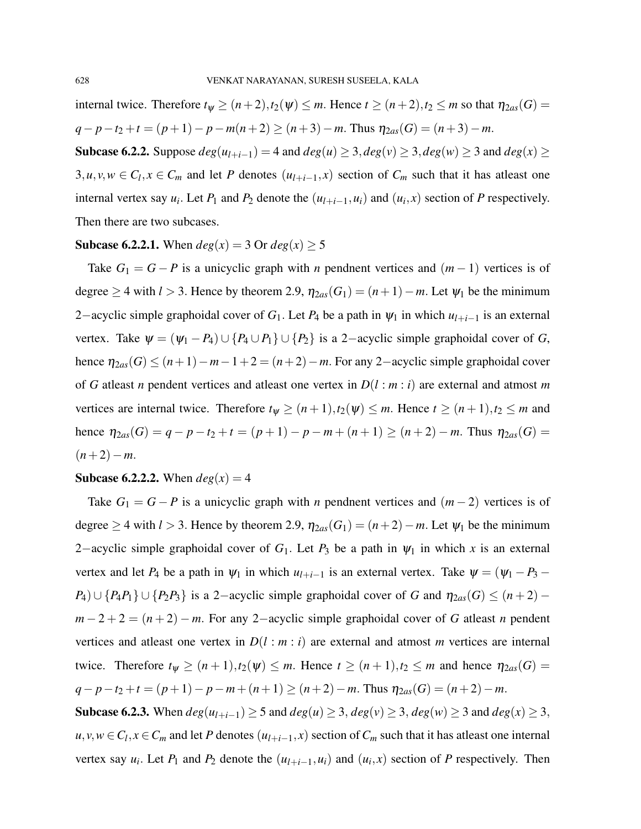internal twice. Therefore  $t_{\psi} \ge (n+2), t_2(\psi) \le m$ . Hence  $t \ge (n+2), t_2 \le m$  so that  $\eta_{2as}(G) =$ *q*−*p*−*t*<sub>2</sub> +*t* = (*p*+1)− *p*−*m*(*n*+2) ≥ (*n*+3)−*m*. Thus  $η_{2as}(G) = (n+3)-m$ .

Subcase 6.2.2. Suppose  $deg(u_{l+i-1}) = 4$  and  $deg(u) ≥ 3$ ,  $deg(v) ≥ 3$ ,  $deg(w) ≥ 3$  and  $deg(x) ≥$ 3, *u*, *v*, *w* ∈ *C*<sub>*l*</sub>, *x* ∈ *C*<sub>*m*</sub> and let *P* denotes  $(u_{l+i-1}, x)$  section of *C<sub>m</sub>* such that it has atleast one internal vertex say  $u_i$ . Let  $P_1$  and  $P_2$  denote the  $(u_{l+i-1}, u_i)$  and  $(u_i, x)$  section of  $P$  respectively. Then there are two subcases.

#### **Subcase 6.2.2.1.** When  $deg(x) = 3$  Or  $deg(x) \ge 5$

Take  $G_1 = G - P$  is a unicyclic graph with *n* pendnent vertices and  $(m - 1)$  vertices is of degree  $\geq$  4 with *l* > 3. Hence by theorem 2.9,  $\eta_{2as}(G_1) = (n+1) - m$ . Let  $\psi_1$  be the minimum 2−acyclic simple graphoidal cover of  $G_1$ . Let  $P_4$  be a path in  $\psi_1$  in which  $u_{l+i-1}$  is an external vertex. Take  $\psi = (\psi_1 - P_4) \cup \{P_4 \cup P_1\} \cup \{P_2\}$  is a 2-acyclic simple graphoidal cover of *G*, hence  $\eta_{2as}(G) \leq (n+1)-m-1+2 = (n+2)-m$ . For any 2-acyclic simple graphoidal cover of *G* atleast *n* pendent vertices and atleast one vertex in *D*(*l* : *m* : *i*) are external and atmost *m* vertices are internal twice. Therefore  $t_{\psi} \ge (n+1), t_2(\psi) \le m$ . Hence  $t \ge (n+1), t_2 \le m$  and hence  $\eta_{2as}(G) = q - p - t_2 + t = (p+1) - p - m + (n+1) \ge (n+2) - m$ . Thus  $\eta_{2as}(G) =$  $(n+2)-m$ .

#### **Subcase 6.2.2.2.** When  $deg(x) = 4$

Take  $G_1 = G - P$  is a unicyclic graph with *n* pendnent vertices and  $(m - 2)$  vertices is of degree  $\geq$  4 with *l* > 3. Hence by theorem 2.9,  $\eta_{2as}(G_1) = (n+2) - m$ . Let  $\psi_1$  be the minimum 2–acyclic simple graphoidal cover of  $G_1$ . Let  $P_3$  be a path in  $\psi_1$  in which x is an external vertex and let  $P_4$  be a path in  $\psi_1$  in which  $u_{l+i-1}$  is an external vertex. Take  $\psi = (\psi_1 - P_3 - \psi_1)$ *P*<sub>4</sub>) ∪ {*P*<sub>4</sub>*P*<sub>1</sub>} ∪ {*P*<sub>2</sub>*P*<sub>3</sub>} is a 2-acyclic simple graphoidal cover of *G* and  $\eta_{2as}(G) \leq (n+2)$  $m-2+2=(n+2)-m$ . For any 2-acyclic simple graphoidal cover of *G* atleast *n* pendent vertices and at least one vertex in  $D(l : m : i)$  are external and atmost *m* vertices are internal twice. Therefore  $t_{\psi} \ge (n+1), t_2(\psi) \le m$ . Hence  $t \ge (n+1), t_2 \le m$  and hence  $\eta_{2as}(G) =$ *q*−*p*−*t*<sub>2</sub> +*t* = (*p*+1)− *p*−*m*+ (*n*+1) ≥ (*n*+2)−*m*. Thus  $η_{2as}(G) = (n+2)-m$ . Subcase 6.2.3. When  $deg(u_{l+i-1})$  ≥ 5 and  $deg(u)$  ≥ 3,  $deg(v)$  ≥ 3,  $deg(w)$  ≥ 3 and  $deg(x)$  ≥ 3,

 $u, v, w \in C_l, x \in C_m$  and let *P* denotes  $(u_{l+i-1}, x)$  section of  $C_m$  such that it has atleast one internal vertex say  $u_i$ . Let  $P_1$  and  $P_2$  denote the  $(u_{i+i-1}, u_i)$  and  $(u_i, x)$  section of  $P$  respectively. Then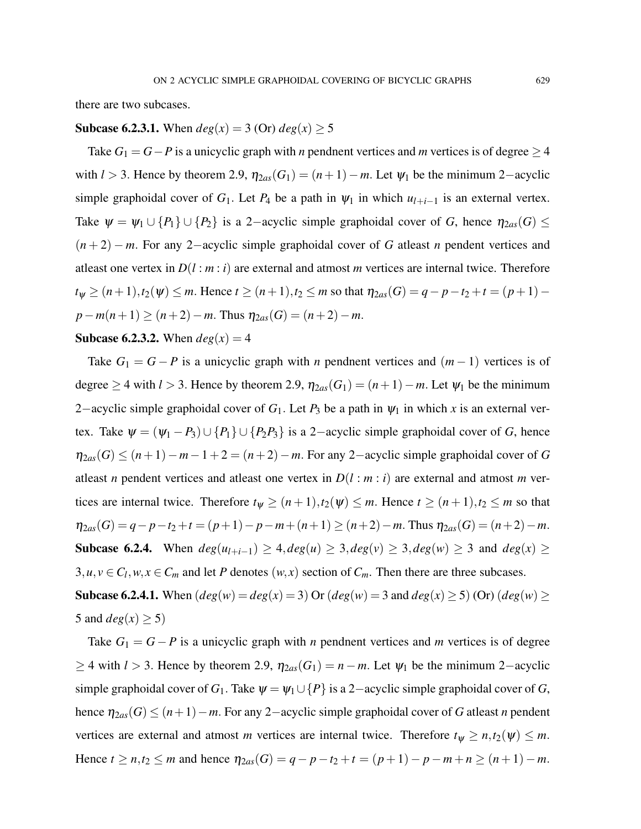there are two subcases.

## **Subcase 6.2.3.1.** When  $deg(x) = 3$  (Or)  $deg(x) > 5$

Take  $G_1 = G - P$  is a unicyclic graph with *n* pendnent vertices and *m* vertices is of degree  $\geq 4$ with  $l > 3$ . Hence by theorem 2.9,  $\eta_{2as}(G_1) = (n+1) - m$ . Let  $\psi_1$  be the minimum 2-acyclic simple graphoidal cover of  $G_1$ . Let  $P_4$  be a path in  $\psi_1$  in which  $u_{l+i-1}$  is an external vertex. Take  $\psi = \psi_1 \cup \{P_1\} \cup \{P_2\}$  is a 2-acyclic simple graphoidal cover of *G*, hence  $\eta_{2as}(G) \leq$ (*n* + 2) − *m*. For any 2−acyclic simple graphoidal cover of *G* atleast *n* pendent vertices and atleast one vertex in  $D(l : m : i)$  are external and atmost *m* vertices are internal twice. Therefore  $t_{\psi} \geq (n+1), t_2(\psi) \leq m$ . Hence  $t \geq (n+1), t_2 \leq m$  so that  $\eta_{2as}(G) = q - p - t_2 + t = (p+1)$  $p - m(n+1) \ge (n+2) - m$ . Thus  $\eta_{2as}(G) = (n+2) - m$ .

#### **Subcase 6.2.3.2.** When  $deg(x) = 4$

Take  $G_1 = G - P$  is a unicyclic graph with *n* pendnent vertices and  $(m - 1)$  vertices is of degree  $\geq$  4 with *l* > 3. Hence by theorem 2.9,  $\eta_{2as}(G_1) = (n+1) - m$ . Let  $\psi_1$  be the minimum 2−acyclic simple graphoidal cover of  $G_1$ . Let  $P_3$  be a path in  $\psi_1$  in which x is an external vertex. Take  $\psi = (\psi_1 - P_3) \cup \{P_1\} \cup \{P_2P_3\}$  is a 2-acyclic simple graphoidal cover of *G*, hence  $η<sub>2as</sub>(G) ≤ (n+1) – m – 1 + 2 = (n+2) – m$ . For any 2–acyclic simple graphoidal cover of *G* atleast *n* pendent vertices and atleast one vertex in  $D(l : m : i)$  are external and atmost *m* vertices are internal twice. Therefore  $t_{\psi} \geq (n+1), t_2(\psi) \leq m$ . Hence  $t \geq (n+1), t_2 \leq m$  so that  $\eta_{2as}(G) = q - p - t_2 + t = (p+1) - p - m + (n+1) \ge (n+2) - m$ . Thus  $\eta_{2as}(G) = (n+2) - m$ . Subcase 6.2.4. When  $deg(u_{l+i-1}) \geq 4, deg(u) \geq 3, deg(v) \geq 3, deg(w) \geq 3$  and  $deg(x) \geq 3$  $3, u, v \in C_l, w, x \in C_m$  and let *P* denotes  $(w, x)$  section of  $C_m$ . Then there are three subcases.

**Subcase 6.2.4.1.** When  $deg(w) = deg(x) = 3$  Or  $deg(w) = 3$  and  $deg(x) \ge 5$  (Or)  $deg(w) \ge$ 5 and  $deg(x) \ge 5$ )

Take  $G_1 = G - P$  is a unicyclic graph with *n* pendnent vertices and *m* vertices is of degree  $≥$  4 with *l* > 3. Hence by theorem 2.9,  $η_{2as}(G_1) = n - m$ . Let  $ψ_1$  be the minimum 2–acyclic simple graphoidal cover of *G*<sub>1</sub>. Take  $\psi = \psi_1 \cup \{P\}$  is a 2-acyclic simple graphoidal cover of *G*, hence  $\eta_{2as}(G) \leq (n+1)-m$ . For any 2-acyclic simple graphoidal cover of *G* atleast *n* pendent vertices are external and atmost *m* vertices are internal twice. Therefore  $t_{\psi} \ge n, t_2(\psi) \le m$ . Hence *t* ≥ *n*,*t*<sub>2</sub> ≤ *m* and hence  $\eta_{2as}(G) = q - p - t_2 + t = (p + 1) - p - m + n \ge (n + 1) - m$ .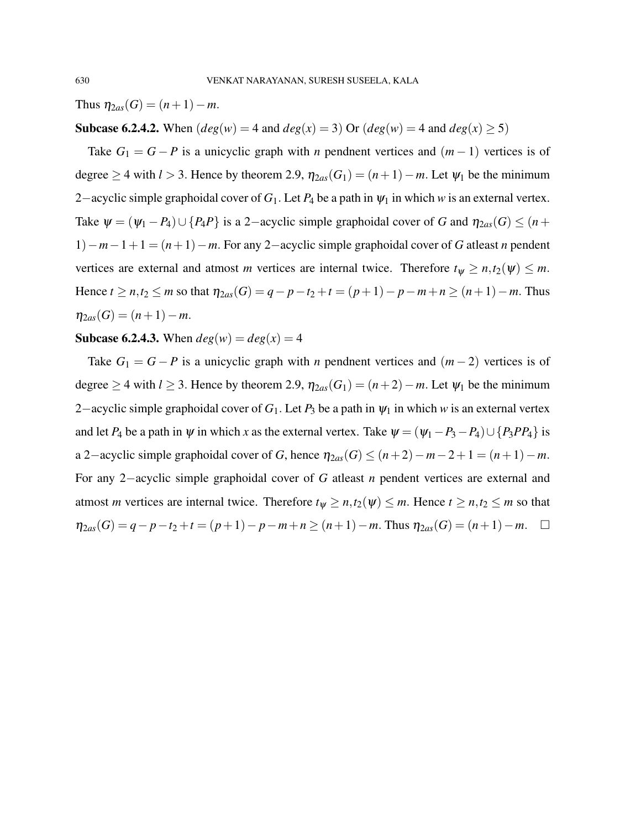Thus  $\eta_{2as}(G) = (n+1)-m$ .

# **Subcase 6.2.4.2.** When  $deg(w) = 4$  and  $deg(x) = 3$ ) Or  $deg(w) = 4$  and  $deg(x) \ge 5$ )

Take  $G_1 = G - P$  is a unicyclic graph with *n* pendnent vertices and  $(m - 1)$  vertices is of degree  $\geq$  4 with *l* > 3. Hence by theorem 2.9,  $\eta_{2as}(G_1) = (n+1) - m$ . Let  $\psi_1$  be the minimum 2−acyclic simple graphoidal cover of *G*1. Let *P*<sup>4</sup> be a path in ψ<sup>1</sup> in which *w* is an external vertex. Take  $\psi = (\psi_1 - P_4) \cup \{P_4P\}$  is a 2-acyclic simple graphoidal cover of *G* and  $\eta_{2as}(G) \leq (n +$ 1)−*m*−1+1 = (*n*+1)−*m*. For any 2−acyclic simple graphoidal cover of *G* atleast *n* pendent vertices are external and atmost *m* vertices are internal twice. Therefore  $t_{\psi} \ge n, t_2(\psi) \le m$ . Hence *t* ≥ *n*,*t*<sub>2</sub> ≤ *m* so that  $\eta_{2as}(G) = q - p - t_2 + t = (p + 1) - p - m + n \ge (n + 1) - m$ . Thus  $\eta_{2as}(G) = (n+1)-m$ .

#### **Subcase 6.2.4.3.** When  $deg(w) = deg(x) = 4$

Take  $G_1 = G - P$  is a unicyclic graph with *n* pendnent vertices and  $(m-2)$  vertices is of degree  $\geq$  4 with *l*  $\geq$  3. Hence by theorem 2.9,  $\eta_{2as}(G_1) = (n+2) - m$ . Let  $\psi_1$  be the minimum 2−acyclic simple graphoidal cover of *G*1. Let *P*<sup>3</sup> be a path in ψ<sup>1</sup> in which *w* is an external vertex and let *P*<sub>4</sub> be a path in  $\psi$  in which *x* as the external vertex. Take  $\psi = (\psi_1 - P_3 - P_4) \cup \{P_3PP_4\}$  is a 2−acyclic simple graphoidal cover of *G*, hence  $\eta_{2as}(G) \leq (n+2)-m-2+1 = (n+1)-m$ . For any 2−acyclic simple graphoidal cover of *G* atleast *n* pendent vertices are external and atmost *m* vertices are internal twice. Therefore  $t_{\psi} \ge n, t_2(\psi) \le m$ . Hence  $t \ge n, t_2 \le m$  so that  $η_{2as}(G) = q - p - t_2 + t = (p + 1) - p - m + n \ge (n + 1) - m$ . Thus  $η_{2as}(G) = (n + 1) - m$ . □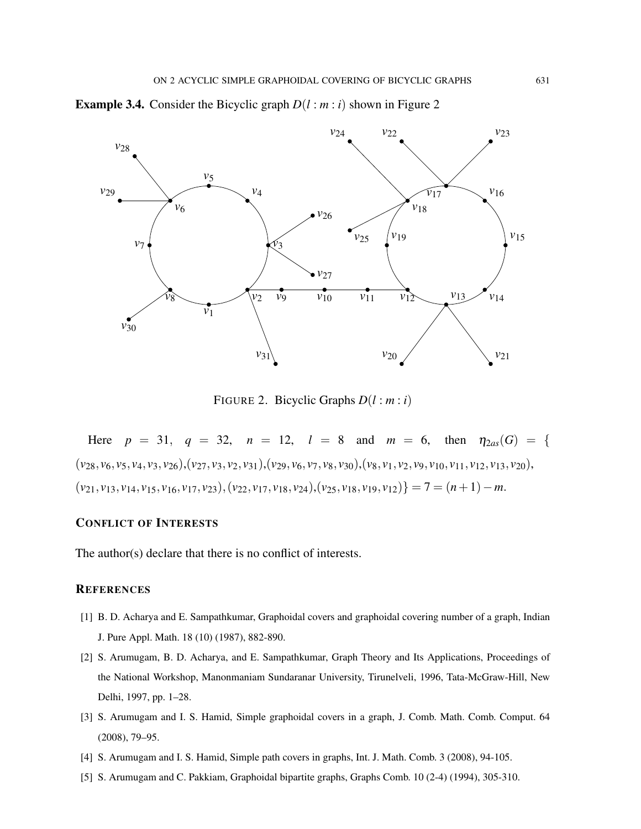



FIGURE 2. Bicyclic Graphs *D*(*l* : *m* : *i*)

Here  $p = 31$ ,  $q = 32$ ,  $n = 12$ ,  $l = 8$  and  $m = 6$ , then  $\eta_{2as}(G) = \{$  $(v_{28}, v_6, v_5, v_4, v_3, v_{26}), (v_{27}, v_3, v_2, v_{31}), (v_{29}, v_6, v_7, v_8, v_{30}), (v_8, v_1, v_2, v_9, v_{10}, v_{11}, v_{12}, v_{13}, v_{20}),$  $(v_{21}, v_{13}, v_{14}, v_{15}, v_{16}, v_{17}, v_{23}), (v_{22}, v_{17}, v_{18}, v_{24}), (v_{25}, v_{18}, v_{19}, v_{12})$ } = 7 =  $(n+1) - m$ .

#### CONFLICT OF INTERESTS

The author(s) declare that there is no conflict of interests.

#### **REFERENCES**

- [1] B. D. Acharya and E. Sampathkumar, Graphoidal covers and graphoidal covering number of a graph, Indian J. Pure Appl. Math. 18 (10) (1987), 882-890.
- [2] S. Arumugam, B. D. Acharya, and E. Sampathkumar, Graph Theory and Its Applications, Proceedings of the National Workshop, Manonmaniam Sundaranar University, Tirunelveli, 1996, Tata-McGraw-Hill, New Delhi, 1997, pp. 1–28.
- [3] S. Arumugam and I. S. Hamid, Simple graphoidal covers in a graph, J. Comb. Math. Comb. Comput. 64 (2008), 79–95.
- [4] S. Arumugam and I. S. Hamid, Simple path covers in graphs, Int. J. Math. Comb. 3 (2008), 94-105.
- [5] S. Arumugam and C. Pakkiam, Graphoidal bipartite graphs, Graphs Comb. 10 (2-4) (1994), 305-310.